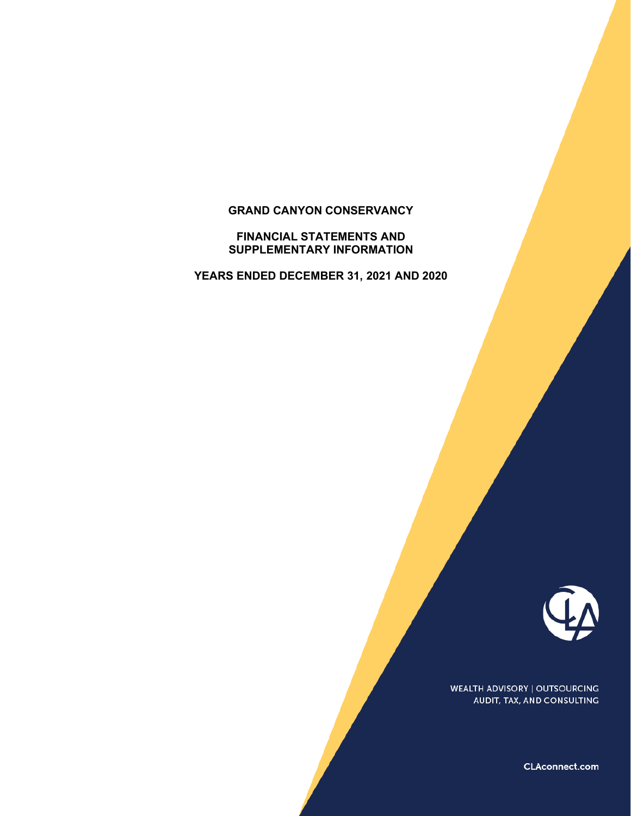# **GRAND CANYON CONSERVANCY**

**FINANCIAL STATEMENTS AND SUPPLEMENTARY INFORMATION**

**YEARS ENDED DECEMBER 31, 2021 AND 2020**



**WEALTH ADVISORY | OUTSOURCING** AUDIT, TAX, AND CONSULTING

CLAconnect.com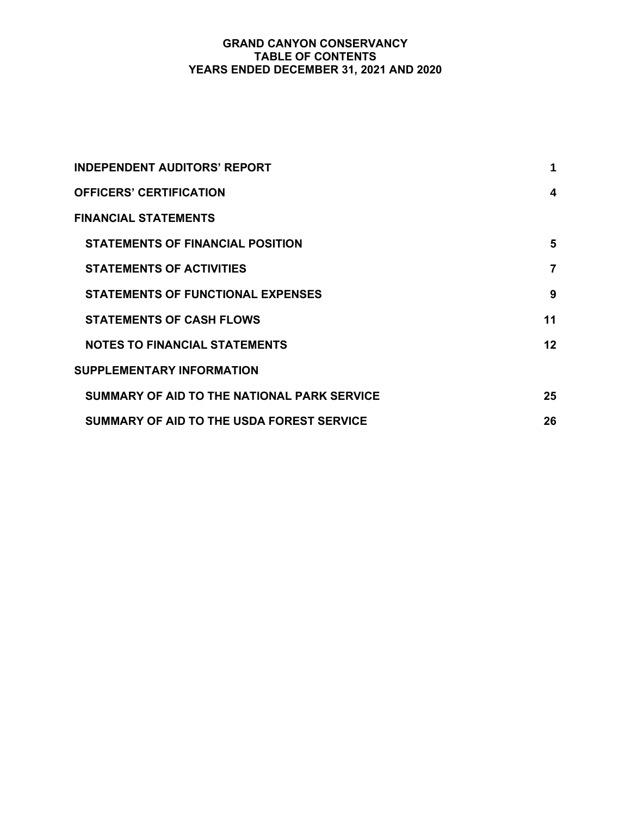# **GRAND CANYON CONSERVANCY TABLE OF CONTENTS YEARS ENDED DECEMBER 31, 2021 AND 2020**

| <b>INDEPENDENT AUDITORS' REPORT</b>         | 1  |
|---------------------------------------------|----|
| <b>OFFICERS' CERTIFICATION</b>              | 4  |
| <b>FINANCIAL STATEMENTS</b>                 |    |
| <b>STATEMENTS OF FINANCIAL POSITION</b>     | 5  |
| <b>STATEMENTS OF ACTIVITIES</b>             | 7  |
| <b>STATEMENTS OF FUNCTIONAL EXPENSES</b>    | 9  |
| <b>STATEMENTS OF CASH FLOWS</b>             | 11 |
| <b>NOTES TO FINANCIAL STATEMENTS</b>        | 12 |
| <b>SUPPLEMENTARY INFORMATION</b>            |    |
| SUMMARY OF AID TO THE NATIONAL PARK SERVICE | 25 |
| SUMMARY OF AID TO THE USDA FOREST SERVICE   | 26 |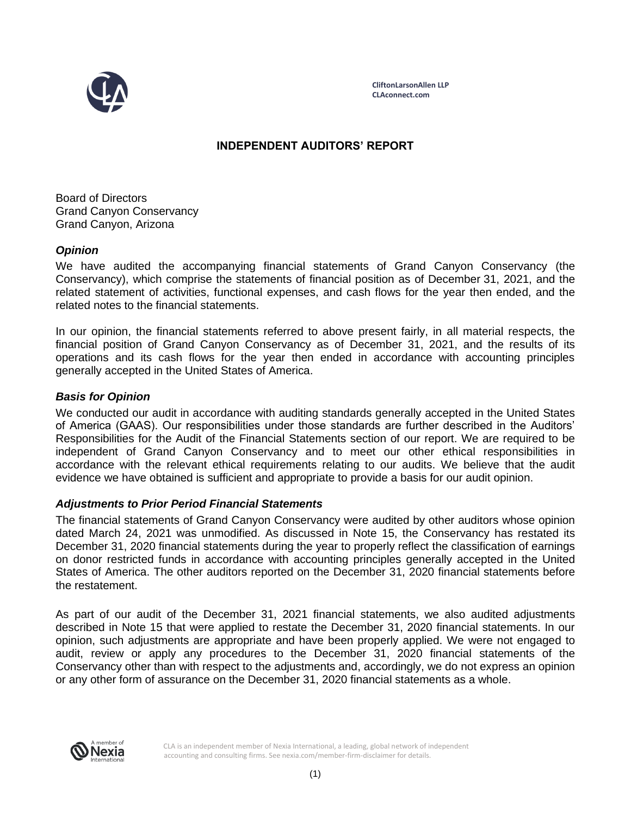

**CliftonLarsonAllen LLP CLAconnect.com**

# **INDEPENDENT AUDITORS' REPORT**

Board of Directors Grand Canyon Conservancy Grand Canyon, Arizona

# *Opinion*

We have audited the accompanying financial statements of Grand Canyon Conservancy (the Conservancy), which comprise the statements of financial position as of December 31, 2021, and the related statement of activities, functional expenses, and cash flows for the year then ended, and the related notes to the financial statements.

In our opinion, the financial statements referred to above present fairly, in all material respects, the financial position of Grand Canyon Conservancy as of December 31, 2021, and the results of its operations and its cash flows for the year then ended in accordance with accounting principles generally accepted in the United States of America.

# *Basis for Opinion*

We conducted our audit in accordance with auditing standards generally accepted in the United States of America (GAAS). Our responsibilities under those standards are further described in the Auditors' Responsibilities for the Audit of the Financial Statements section of our report. We are required to be independent of Grand Canyon Conservancy and to meet our other ethical responsibilities in accordance with the relevant ethical requirements relating to our audits. We believe that the audit evidence we have obtained is sufficient and appropriate to provide a basis for our audit opinion.

### *Adjustments to Prior Period Financial Statements*

The financial statements of Grand Canyon Conservancy were audited by other auditors whose opinion dated March 24, 2021 was unmodified. As discussed in Note 15, the Conservancy has restated its December 31, 2020 financial statements during the year to properly reflect the classification of earnings on donor restricted funds in accordance with accounting principles generally accepted in the United States of America. The other auditors reported on the December 31, 2020 financial statements before the restatement.

As part of our audit of the December 31, 2021 financial statements, we also audited adjustments described in Note 15 that were applied to restate the December 31, 2020 financial statements. In our opinion, such adjustments are appropriate and have been properly applied. We were not engaged to audit, review or apply any procedures to the December 31, 2020 financial statements of the Conservancy other than with respect to the adjustments and, accordingly, we do not express an opinion or any other form of assurance on the December 31, 2020 financial statements as a whole.



CLA is an independent member of Nexia International, a leading, global network of independent accounting and consulting firms. See nexia.com/member-firm-disclaimer for details.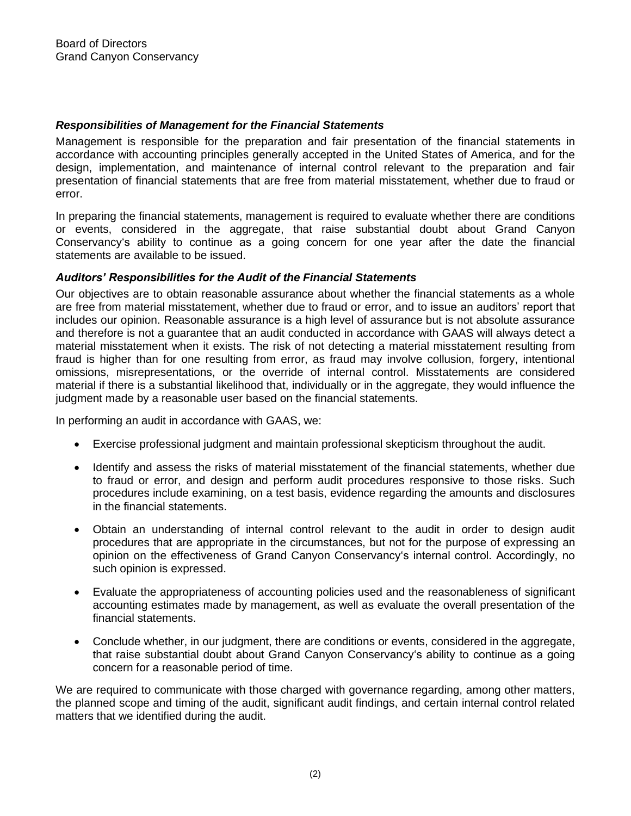# *Responsibilities of Management for the Financial Statements*

Management is responsible for the preparation and fair presentation of the financial statements in accordance with accounting principles generally accepted in the United States of America, and for the design, implementation, and maintenance of internal control relevant to the preparation and fair presentation of financial statements that are free from material misstatement, whether due to fraud or error.

In preparing the financial statements, management is required to evaluate whether there are conditions or events, considered in the aggregate, that raise substantial doubt about Grand Canyon Conservancy's ability to continue as a going concern for one year after the date the financial statements are available to be issued.

## *Auditors' Responsibilities for the Audit of the Financial Statements*

Our objectives are to obtain reasonable assurance about whether the financial statements as a whole are free from material misstatement, whether due to fraud or error, and to issue an auditors' report that includes our opinion. Reasonable assurance is a high level of assurance but is not absolute assurance and therefore is not a guarantee that an audit conducted in accordance with GAAS will always detect a material misstatement when it exists. The risk of not detecting a material misstatement resulting from fraud is higher than for one resulting from error, as fraud may involve collusion, forgery, intentional omissions, misrepresentations, or the override of internal control. Misstatements are considered material if there is a substantial likelihood that, individually or in the aggregate, they would influence the judgment made by a reasonable user based on the financial statements.

In performing an audit in accordance with GAAS, we:

- Exercise professional judgment and maintain professional skepticism throughout the audit.
- Identify and assess the risks of material misstatement of the financial statements, whether due to fraud or error, and design and perform audit procedures responsive to those risks. Such procedures include examining, on a test basis, evidence regarding the amounts and disclosures in the financial statements.
- Obtain an understanding of internal control relevant to the audit in order to design audit procedures that are appropriate in the circumstances, but not for the purpose of expressing an opinion on the effectiveness of Grand Canyon Conservancy's internal control. Accordingly, no such opinion is expressed.
- Evaluate the appropriateness of accounting policies used and the reasonableness of significant accounting estimates made by management, as well as evaluate the overall presentation of the financial statements.
- Conclude whether, in our judgment, there are conditions or events, considered in the aggregate, that raise substantial doubt about Grand Canyon Conservancy's ability to continue as a going concern for a reasonable period of time.

We are required to communicate with those charged with governance regarding, among other matters, the planned scope and timing of the audit, significant audit findings, and certain internal control related matters that we identified during the audit.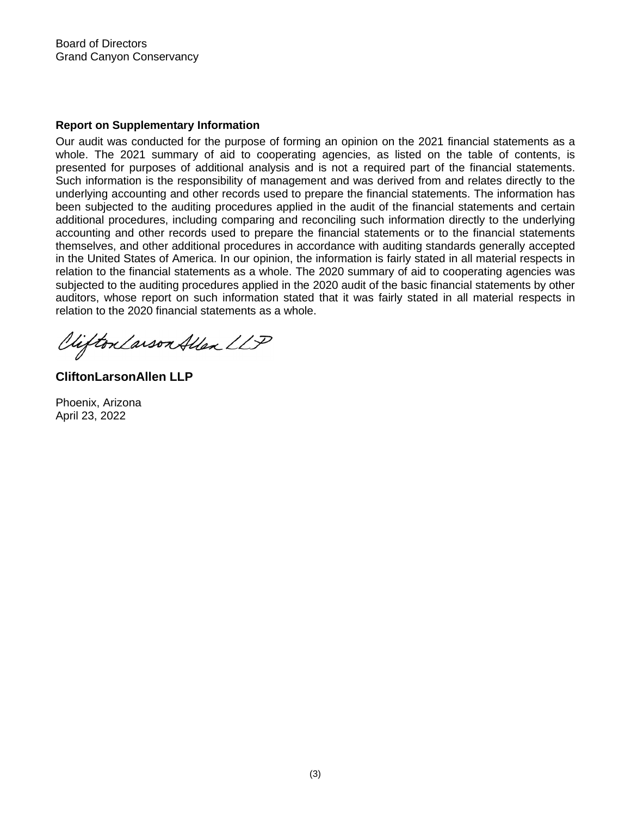Board of Directors Grand Canyon Conservancy

### **Report on Supplementary Information**

Our audit was conducted for the purpose of forming an opinion on the 2021 financial statements as a whole. The 2021 summary of aid to cooperating agencies, as listed on the table of contents, is presented for purposes of additional analysis and is not a required part of the financial statements. Such information is the responsibility of management and was derived from and relates directly to the underlying accounting and other records used to prepare the financial statements. The information has been subjected to the auditing procedures applied in the audit of the financial statements and certain additional procedures, including comparing and reconciling such information directly to the underlying accounting and other records used to prepare the financial statements or to the financial statements themselves, and other additional procedures in accordance with auditing standards generally accepted in the United States of America. In our opinion, the information is fairly stated in all material respects in relation to the financial statements as a whole. The 2020 summary of aid to cooperating agencies was subjected to the auditing procedures applied in the 2020 audit of the basic financial statements by other auditors, whose report on such information stated that it was fairly stated in all material respects in relation to the 2020 financial statements as a whole.

Clifton Larson Allen LLP

**CliftonLarsonAllen LLP**

Phoenix, Arizona April 23, 2022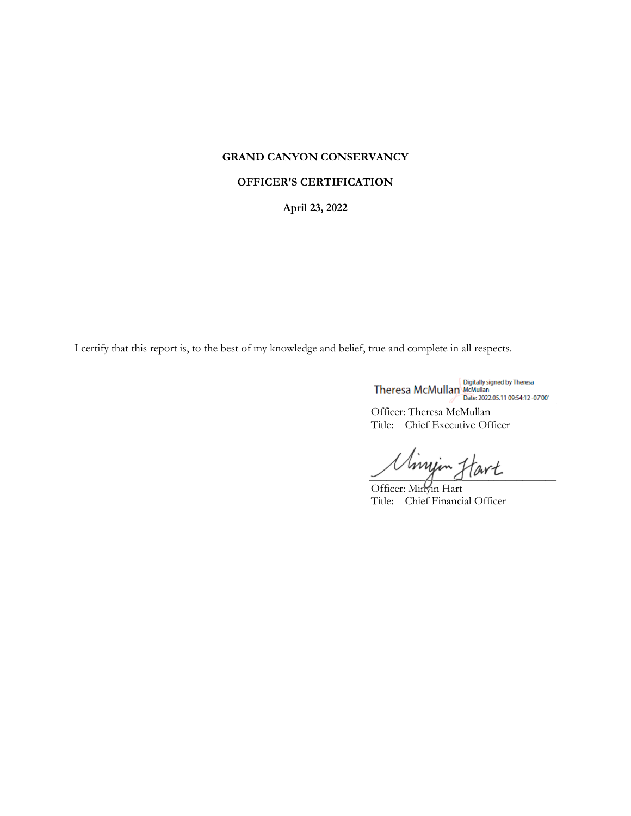## **GRAND CANYON CONSERVANCY**

#### **OFFICER'S CERTIFICATION**

**April 23, 2022** 

I certify that this report is, to the best of my knowledge and belief, true and complete in all respects.

Theresa McMullan Bate 2022.05.11 09:54:12 -07:00

Officer: Theresa McMullan Title: Chief Executive Officer

Uminin Hart

Officer: Minyin Hart Title: Chief Financial Officer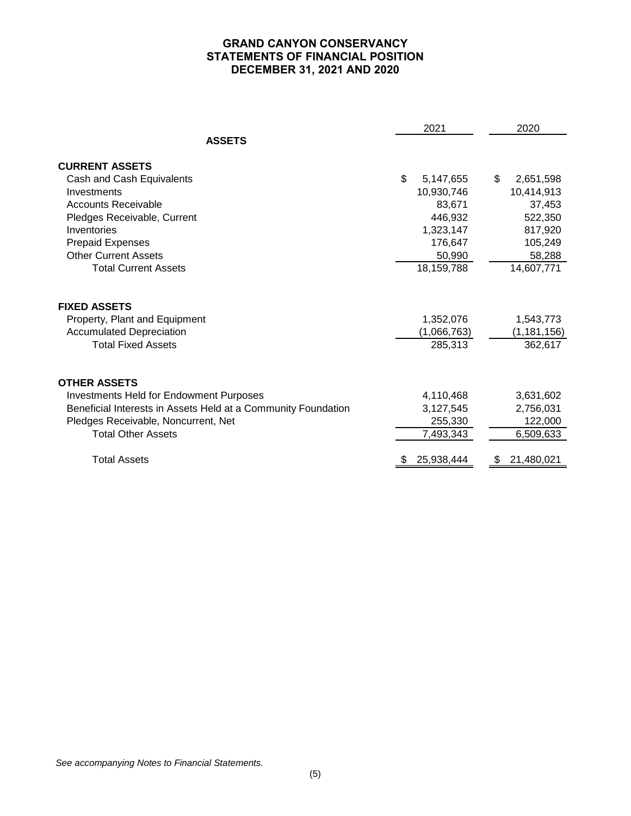# **GRAND CANYON CONSERVANCY STATEMENTS OF FINANCIAL POSITION DECEMBER 31, 2021 AND 2020**

|                                                               | 2021            | 2020            |
|---------------------------------------------------------------|-----------------|-----------------|
| <b>ASSETS</b>                                                 |                 |                 |
| <b>CURRENT ASSETS</b>                                         |                 |                 |
| Cash and Cash Equivalents                                     | \$<br>5,147,655 | \$<br>2,651,598 |
| Investments                                                   | 10,930,746      | 10,414,913      |
| Accounts Receivable                                           | 83,671          | 37,453          |
| Pledges Receivable, Current                                   | 446,932         | 522,350         |
| Inventories                                                   | 1,323,147       | 817,920         |
| <b>Prepaid Expenses</b>                                       | 176,647         | 105,249         |
| <b>Other Current Assets</b>                                   | 50,990          | 58,288          |
| <b>Total Current Assets</b>                                   | 18,159,788      | 14,607,771      |
| <b>FIXED ASSETS</b>                                           |                 |                 |
| Property, Plant and Equipment                                 | 1,352,076       | 1,543,773       |
| <b>Accumulated Depreciation</b>                               | (1,066,763)     | (1, 181, 156)   |
| <b>Total Fixed Assets</b>                                     | 285,313         | 362,617         |
| <b>OTHER ASSETS</b>                                           |                 |                 |
| <b>Investments Held for Endowment Purposes</b>                | 4,110,468       | 3,631,602       |
| Beneficial Interests in Assets Held at a Community Foundation | 3,127,545       | 2,756,031       |
| Pledges Receivable, Noncurrent, Net                           | 255,330         | 122,000         |
| <b>Total Other Assets</b>                                     | 7,493,343       | 6,509,633       |
| <b>Total Assets</b>                                           | 25,938,444      | 21,480,021      |
|                                                               |                 |                 |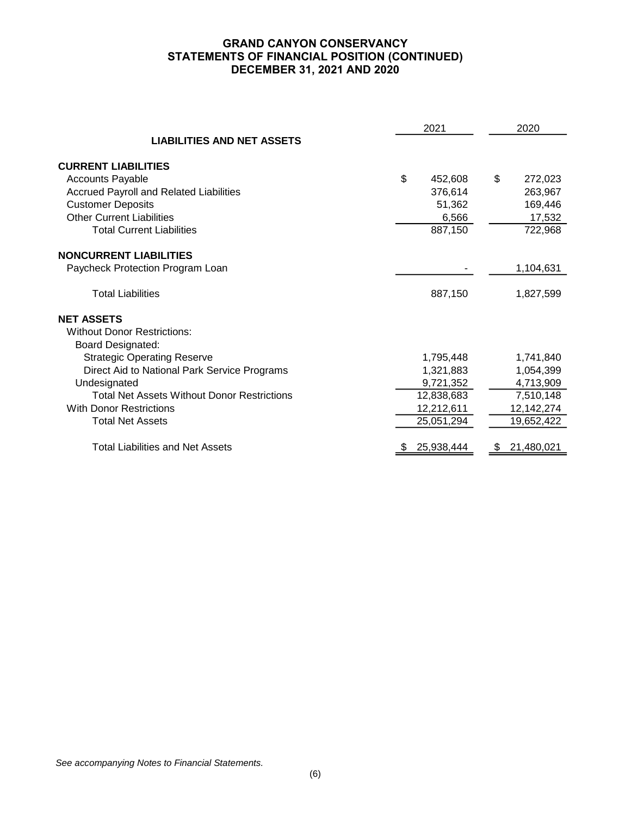# **GRAND CANYON CONSERVANCY STATEMENTS OF FINANCIAL POSITION (CONTINUED) DECEMBER 31, 2021 AND 2020**

|                                                    | 2021          | 2020             |  |  |  |
|----------------------------------------------------|---------------|------------------|--|--|--|
| <b>LIABILITIES AND NET ASSETS</b>                  |               |                  |  |  |  |
| <b>CURRENT LIABILITIES</b>                         |               |                  |  |  |  |
| <b>Accounts Payable</b>                            | \$<br>452,608 | \$<br>272,023    |  |  |  |
| Accrued Payroll and Related Liabilities            | 376,614       | 263,967          |  |  |  |
| <b>Customer Deposits</b>                           | 51,362        | 169,446          |  |  |  |
| <b>Other Current Liabilities</b>                   | 6,566         | 17,532           |  |  |  |
| <b>Total Current Liabilities</b>                   | 887,150       | 722,968          |  |  |  |
| <b>NONCURRENT LIABILITIES</b>                      |               |                  |  |  |  |
| Paycheck Protection Program Loan                   |               | 1,104,631        |  |  |  |
| <b>Total Liabilities</b>                           | 887,150       | 1,827,599        |  |  |  |
| <b>NET ASSETS</b>                                  |               |                  |  |  |  |
| <b>Without Donor Restrictions:</b>                 |               |                  |  |  |  |
| <b>Board Designated:</b>                           |               |                  |  |  |  |
| <b>Strategic Operating Reserve</b>                 | 1,795,448     | 1,741,840        |  |  |  |
| Direct Aid to National Park Service Programs       | 1,321,883     | 1,054,399        |  |  |  |
| Undesignated                                       | 9,721,352     | 4,713,909        |  |  |  |
| <b>Total Net Assets Without Donor Restrictions</b> | 12,838,683    | 7,510,148        |  |  |  |
| <b>With Donor Restrictions</b>                     | 12,212,611    | 12,142,274       |  |  |  |
| <b>Total Net Assets</b>                            | 25,051,294    | 19,652,422       |  |  |  |
| <b>Total Liabilities and Net Assets</b>            | 25,938,444    | 21,480,021<br>æ. |  |  |  |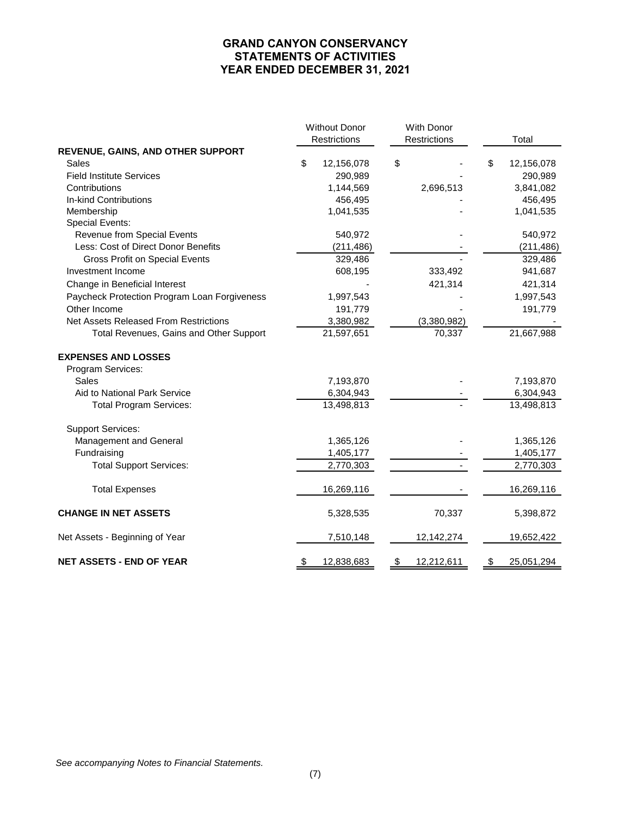# **GRAND CANYON CONSERVANCY STATEMENTS OF ACTIVITIES YEAR ENDED DECEMBER 31, 2021**

|                                              | <b>Without Donor</b><br>Restrictions | With Donor<br>Restrictions | Total            |
|----------------------------------------------|--------------------------------------|----------------------------|------------------|
| REVENUE, GAINS, AND OTHER SUPPORT            |                                      |                            |                  |
| <b>Sales</b>                                 | \$<br>12,156,078                     | \$                         | \$<br>12,156,078 |
| <b>Field Institute Services</b>              | 290,989                              |                            | 290,989          |
| Contributions                                | 1,144,569                            | 2,696,513                  | 3,841,082        |
| In-kind Contributions                        | 456,495                              |                            | 456,495          |
| Membership                                   | 1,041,535                            |                            | 1,041,535        |
| Special Events:                              |                                      |                            |                  |
| Revenue from Special Events                  | 540,972                              |                            | 540,972          |
| Less: Cost of Direct Donor Benefits          | (211, 486)                           |                            | (211, 486)       |
| <b>Gross Profit on Special Events</b>        | 329,486                              |                            | 329,486          |
| Investment Income                            | 608,195                              | 333,492                    | 941,687          |
| Change in Beneficial Interest                |                                      | 421,314                    | 421,314          |
| Paycheck Protection Program Loan Forgiveness | 1,997,543                            |                            | 1,997,543        |
| Other Income                                 | 191,779                              |                            | 191,779          |
| <b>Net Assets Released From Restrictions</b> | 3,380,982                            | (3,380,982)                |                  |
| Total Revenues, Gains and Other Support      | 21,597,651                           | 70,337                     | 21,667,988       |
| <b>EXPENSES AND LOSSES</b>                   |                                      |                            |                  |
| Program Services:                            |                                      |                            |                  |
| Sales                                        | 7,193,870                            |                            | 7,193,870        |
| Aid to National Park Service                 | 6,304,943                            |                            | 6,304,943        |
| <b>Total Program Services:</b>               | 13,498,813                           |                            | 13,498,813       |
| <b>Support Services:</b>                     |                                      |                            |                  |
| Management and General                       | 1,365,126                            |                            | 1,365,126        |
| Fundraising                                  | 1,405,177                            |                            | 1,405,177        |
| <b>Total Support Services:</b>               | 2,770,303                            |                            | 2,770,303        |
| <b>Total Expenses</b>                        | 16,269,116                           |                            | 16,269,116       |
| <b>CHANGE IN NET ASSETS</b>                  | 5,328,535                            | 70,337                     | 5,398,872        |
| Net Assets - Beginning of Year               | 7,510,148                            | 12,142,274                 | 19,652,422       |
| <b>NET ASSETS - END OF YEAR</b>              | \$<br>12,838,683                     | \$<br>12,212,611           | \$<br>25,051,294 |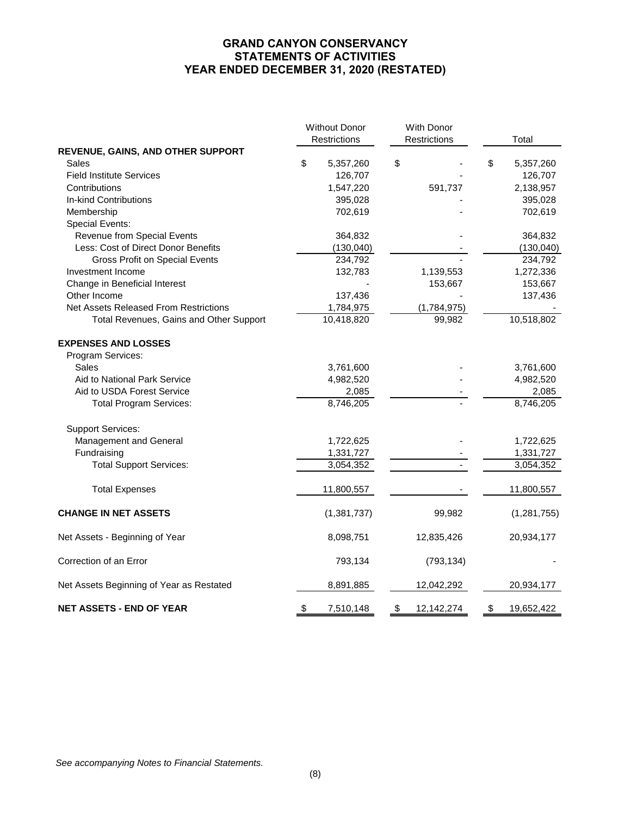# **GRAND CANYON CONSERVANCY STATEMENTS OF ACTIVITIES YEAR ENDED DECEMBER 31, 2020 (RESTATED)**

|                                              | <b>Without Donor</b><br>Restrictions | With Donor<br>Restrictions | Total            |
|----------------------------------------------|--------------------------------------|----------------------------|------------------|
| REVENUE, GAINS, AND OTHER SUPPORT            |                                      |                            |                  |
| Sales                                        | \$<br>5,357,260                      | \$                         | \$<br>5,357,260  |
| <b>Field Institute Services</b>              | 126,707                              |                            | 126,707          |
| Contributions                                | 1,547,220                            | 591,737                    | 2,138,957        |
| In-kind Contributions                        | 395,028                              |                            | 395,028          |
| Membership                                   | 702,619                              |                            | 702,619          |
| Special Events:                              |                                      |                            |                  |
| Revenue from Special Events                  | 364,832                              |                            | 364,832          |
| Less: Cost of Direct Donor Benefits          | (130, 040)                           |                            | (130, 040)       |
| <b>Gross Profit on Special Events</b>        | 234,792                              |                            | 234,792          |
| Investment Income                            | 132,783                              | 1,139,553                  | 1,272,336        |
| Change in Beneficial Interest                |                                      | 153,667                    | 153,667          |
| Other Income                                 | 137,436                              |                            | 137,436          |
| <b>Net Assets Released From Restrictions</b> | 1,784,975                            | (1,784,975)                |                  |
| Total Revenues, Gains and Other Support      | 10,418,820                           | 99,982                     | 10,518,802       |
| <b>EXPENSES AND LOSSES</b>                   |                                      |                            |                  |
| Program Services:                            |                                      |                            |                  |
| Sales                                        | 3,761,600                            |                            | 3,761,600        |
| Aid to National Park Service                 | 4,982,520                            |                            | 4,982,520        |
| Aid to USDA Forest Service                   | 2,085                                |                            | 2,085            |
| <b>Total Program Services:</b>               | 8,746,205                            |                            | 8,746,205        |
| <b>Support Services:</b>                     |                                      |                            |                  |
| Management and General                       | 1,722,625                            |                            | 1,722,625        |
| Fundraising                                  | 1,331,727                            |                            | 1,331,727        |
| <b>Total Support Services:</b>               | 3,054,352                            |                            | 3,054,352        |
| <b>Total Expenses</b>                        | 11,800,557                           |                            | 11,800,557       |
| <b>CHANGE IN NET ASSETS</b>                  | (1,381,737)                          | 99,982                     | (1, 281, 755)    |
| Net Assets - Beginning of Year               | 8,098,751                            | 12,835,426                 | 20,934,177       |
| Correction of an Error                       | 793,134                              | (793, 134)                 |                  |
| Net Assets Beginning of Year as Restated     | 8,891,885                            | 12,042,292                 | 20,934,177       |
| <b>NET ASSETS - END OF YEAR</b>              | \$<br>7,510,148                      | \$<br>12,142,274           | \$<br>19,652,422 |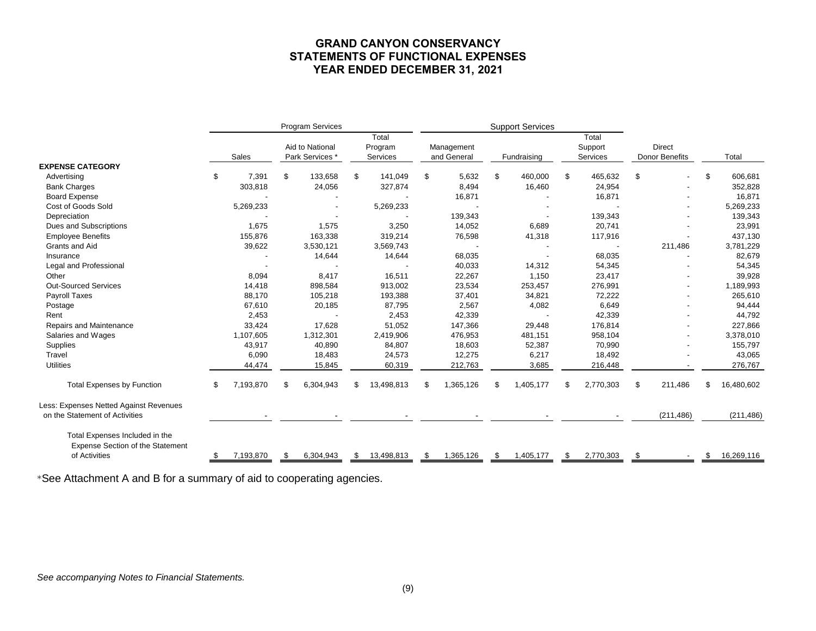# **GRAND CANYON CONSERVANCY STATEMENTS OF FUNCTIONAL EXPENSES YEAR ENDED DECEMBER 31, 2021**

|                                                                                            |    |           |     | Program Services                   |     |                              | <b>Support Services</b> |                           |    |                          |      |                              |    |                                 |    |            |
|--------------------------------------------------------------------------------------------|----|-----------|-----|------------------------------------|-----|------------------------------|-------------------------|---------------------------|----|--------------------------|------|------------------------------|----|---------------------------------|----|------------|
|                                                                                            |    | Sales     |     | Aid to National<br>Park Services * |     | Total<br>Program<br>Services |                         | Management<br>and General |    | Fundraising              |      | Total<br>Support<br>Services |    | <b>Direct</b><br>Donor Benefits |    | Total      |
| <b>EXPENSE CATEGORY</b>                                                                    |    |           |     |                                    |     |                              |                         |                           |    |                          |      |                              |    |                                 |    |            |
| Advertising                                                                                | \$ | 7,391     | \$  | 133,658                            | \$. | 141,049                      | \$                      | 5,632                     | \$ | 460,000                  | \$   | 465,632                      | \$ |                                 | \$ | 606,681    |
| <b>Bank Charges</b>                                                                        |    | 303,818   |     | 24,056                             |     | 327,874                      |                         | 8,494                     |    | 16,460                   |      | 24,954                       |    |                                 |    | 352,828    |
| <b>Board Expense</b>                                                                       |    |           |     |                                    |     |                              |                         | 16,871                    |    |                          |      | 16,871                       |    |                                 |    | 16,871     |
| Cost of Goods Sold                                                                         |    | 5,269,233 |     |                                    |     | 5,269,233                    |                         |                           |    |                          |      |                              |    |                                 |    | 5,269,233  |
| Depreciation                                                                               |    |           |     |                                    |     |                              |                         | 139,343                   |    | $\blacksquare$           |      | 139,343                      |    |                                 |    | 139,343    |
| Dues and Subscriptions                                                                     |    | 1,675     |     | 1,575                              |     | 3,250                        |                         | 14,052                    |    | 6,689                    |      | 20,741                       |    |                                 |    | 23,991     |
| <b>Employee Benefits</b>                                                                   |    | 155,876   |     | 163,338                            |     | 319,214                      |                         | 76,598                    |    | 41,318                   |      | 117,916                      |    |                                 |    | 437,130    |
| Grants and Aid                                                                             |    | 39,622    |     | 3,530,121                          |     | 3,569,743                    |                         |                           |    |                          |      |                              |    | 211,486                         |    | 3,781,229  |
| Insurance                                                                                  |    |           |     | 14,644                             |     | 14,644                       |                         | 68,035                    |    | $\overline{\phantom{a}}$ |      | 68,035                       |    |                                 |    | 82,679     |
| Legal and Professional                                                                     |    |           |     |                                    |     |                              |                         | 40,033                    |    | 14,312                   |      | 54,345                       |    |                                 |    | 54,345     |
| Other                                                                                      |    | 8,094     |     | 8,417                              |     | 16,511                       |                         | 22,267                    |    | 1,150                    |      | 23,417                       |    |                                 |    | 39,928     |
| <b>Out-Sourced Services</b>                                                                |    | 14,418    |     | 898,584                            |     | 913,002                      |                         | 23,534                    |    | 253,457                  |      | 276,991                      |    |                                 |    | 1,189,993  |
| Payroll Taxes                                                                              |    | 88,170    |     | 105,218                            |     | 193,388                      |                         | 37,401                    |    | 34,821                   |      | 72,222                       |    |                                 |    | 265,610    |
| Postage                                                                                    |    | 67,610    |     | 20,185                             |     | 87,795                       |                         | 2,567                     |    | 4,082                    |      | 6,649                        |    |                                 |    | 94,444     |
| Rent                                                                                       |    | 2,453     |     |                                    |     | 2,453                        |                         | 42,339                    |    |                          |      | 42,339                       |    |                                 |    | 44,792     |
| Repairs and Maintenance                                                                    |    | 33,424    |     | 17,628                             |     | 51,052                       |                         | 147,366                   |    | 29,448                   |      | 176,814                      |    |                                 |    | 227,866    |
| Salaries and Wages                                                                         |    | 1,107,605 |     | 1,312,301                          |     | 2,419,906                    |                         | 476,953                   |    | 481,151                  |      | 958,104                      |    |                                 |    | 3,378,010  |
| <b>Supplies</b>                                                                            |    | 43,917    |     | 40,890                             |     | 84,807                       |                         | 18,603                    |    | 52,387                   |      | 70,990                       |    |                                 |    | 155,797    |
| Travel                                                                                     |    | 6,090     |     | 18,483                             |     | 24,573                       |                         | 12,275                    |    | 6,217                    |      | 18,492                       |    |                                 |    | 43,065     |
| <b>Utilities</b>                                                                           |    | 44,474    |     | 15,845                             |     | 60,319                       |                         | 212,763                   |    | 3,685                    |      | 216,448                      |    |                                 |    | 276,767    |
| <b>Total Expenses by Function</b>                                                          | \$ | 7,193,870 | \$. | 6,304,943                          |     | 13,498,813                   | £.                      | 1,365,126                 | \$ | 1,405,177                | \$   | 2,770,303                    | \$ | 211,486                         | \$ | 16,480,602 |
| Less: Expenses Netted Against Revenues                                                     |    |           |     |                                    |     |                              |                         |                           |    |                          |      |                              |    |                                 |    |            |
| on the Statement of Activities                                                             |    |           |     |                                    |     |                              |                         |                           |    |                          |      |                              |    | (211, 486)                      |    | (211, 486) |
| Total Expenses Included in the<br><b>Expense Section of the Statement</b><br>of Activities |    | 7,193,870 | \$  | 6,304,943                          | \$  | 13,498,813                   | - \$                    | 1,365,126                 | \$ | 1,405,177                | - \$ | 2,770,303                    |    |                                 | \$ | 16,269,116 |
|                                                                                            |    |           |     |                                    |     |                              |                         |                           |    |                          |      |                              |    |                                 |    |            |

\*See Attachment A and B for a summary of aid to cooperating agencies.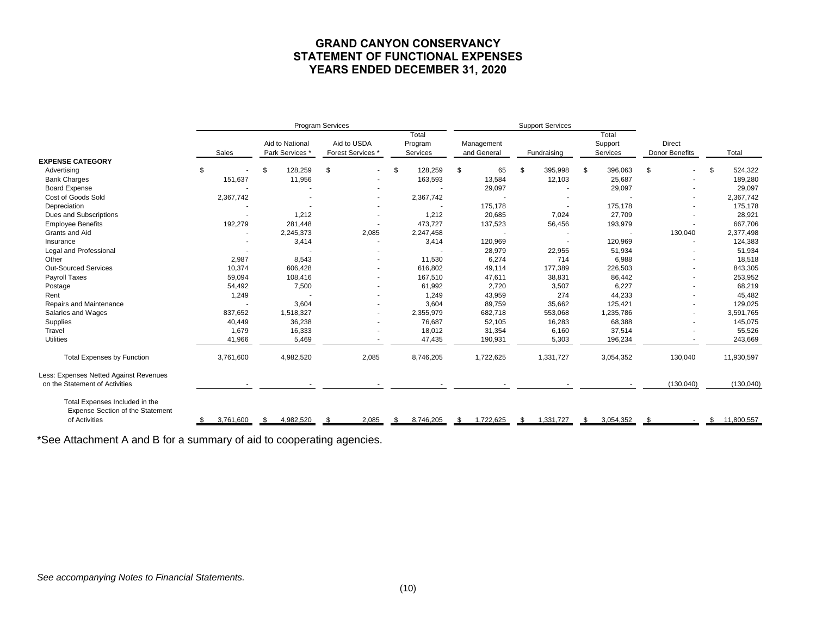# **GRAND CANYON CONSERVANCY STATEMENT OF FUNCTIONAL EXPENSES YEARS ENDED DECEMBER 31, 2020**

|                                                                                            |           |                                    | <b>Program Services</b>          |                              |                           | <b>Support Services</b>  |                              |                                 |                   |
|--------------------------------------------------------------------------------------------|-----------|------------------------------------|----------------------------------|------------------------------|---------------------------|--------------------------|------------------------------|---------------------------------|-------------------|
|                                                                                            | Sales     | Aid to National<br>Park Services * | Aid to USDA<br>Forest Services * | Total<br>Program<br>Services | Management<br>and General | Fundraising              | Total<br>Support<br>Services | <b>Direct</b><br>Donor Benefits | Total             |
| <b>EXPENSE CATEGORY</b>                                                                    |           |                                    |                                  |                              |                           |                          |                              |                                 |                   |
| Advertising                                                                                | \$        | \$<br>128,259                      | \$<br>$\sim$                     | \$<br>128,259                | \$<br>65                  | \$<br>395,998            | \$<br>396,063                | \$                              | \$<br>524,322     |
| <b>Bank Charges</b>                                                                        | 151,637   | 11,956                             |                                  | 163,593                      | 13,584                    | 12,103                   | 25,687                       |                                 | 189,280           |
| <b>Board Expense</b>                                                                       |           |                                    |                                  |                              | 29,097                    |                          | 29,097                       |                                 | 29,097            |
| Cost of Goods Sold                                                                         | 2,367,742 |                                    |                                  | 2,367,742                    |                           | $\overline{\phantom{a}}$ |                              |                                 | 2,367,742         |
| Depreciation                                                                               |           |                                    |                                  |                              | 175,178                   |                          | 175,178                      |                                 | 175,178           |
| Dues and Subscriptions                                                                     |           | 1,212                              |                                  | 1,212                        | 20,685                    | 7,024                    | 27,709                       |                                 | 28,921            |
| <b>Employee Benefits</b>                                                                   | 192,279   | 281,448                            |                                  | 473,727                      | 137,523                   | 56,456                   | 193,979                      |                                 | 667,706           |
| Grants and Aid                                                                             |           | 2,245,373                          | 2,085                            | 2,247,458                    |                           |                          |                              | 130,040                         | 2,377,498         |
| Insurance                                                                                  |           | 3,414                              |                                  | 3,414                        | 120,969                   |                          | 120,969                      |                                 | 124,383           |
| Legal and Professional                                                                     |           |                                    |                                  |                              | 28,979                    | 22,955                   | 51,934                       |                                 | 51,934            |
| Other                                                                                      | 2,987     | 8,543                              |                                  | 11,530                       | 6,274                     | 714                      | 6,988                        |                                 | 18,518            |
| <b>Out-Sourced Services</b>                                                                | 10,374    | 606,428                            | $\sim$                           | 616,802                      | 49,114                    | 177,389                  | 226,503                      |                                 | 843,305           |
| Payroll Taxes                                                                              | 59,094    | 108,416                            |                                  | 167,510                      | 47,611                    | 38,831                   | 86,442                       |                                 | 253,952           |
| Postage                                                                                    | 54,492    | 7,500                              |                                  | 61,992                       | 2,720                     | 3,507                    | 6,227                        |                                 | 68,219            |
| Rent                                                                                       | 1,249     |                                    |                                  | 1,249                        | 43,959                    | 274                      | 44,233                       |                                 | 45,482            |
| Repairs and Maintenance                                                                    |           | 3,604                              |                                  | 3,604                        | 89,759                    | 35,662                   | 125,421                      |                                 | 129,025           |
| Salaries and Wages                                                                         | 837,652   | 1,518,327                          |                                  | 2,355,979                    | 682,718                   | 553,068                  | 1,235,786                    |                                 | 3,591,765         |
| Supplies                                                                                   | 40,449    | 36,238                             |                                  | 76,687                       | 52,105                    | 16,283                   | 68,388                       |                                 | 145,075           |
| Travel                                                                                     | 1,679     | 16,333                             |                                  | 18,012                       | 31,354                    | 6,160                    | 37,514                       |                                 | 55,526            |
| <b>Utilities</b>                                                                           | 41,966    | 5,469                              |                                  | 47,435                       | 190,931                   | 5,303                    | 196,234                      |                                 | 243,669           |
| <b>Total Expenses by Function</b>                                                          | 3,761,600 | 4,982,520                          | 2,085                            | 8,746,205                    | 1,722,625                 | 1,331,727                | 3,054,352                    | 130,040                         | 11,930,597        |
| Less: Expenses Netted Against Revenues                                                     |           |                                    |                                  |                              |                           |                          |                              |                                 |                   |
| on the Statement of Activities                                                             |           |                                    |                                  |                              |                           |                          |                              | (130, 040)                      | (130, 040)        |
| Total Expenses Included in the<br><b>Expense Section of the Statement</b><br>of Activities | 3.761.600 | 4,982,520                          | 2,085                            | 8,746,205<br>\$              | 1,722,625                 | 1.331.727                | 3,054,352<br>\$.             |                                 | 11,800,557<br>\$. |
|                                                                                            |           |                                    |                                  |                              |                           |                          |                              |                                 |                   |

\*See Attachment A and B for a summary of aid to cooperating agencies.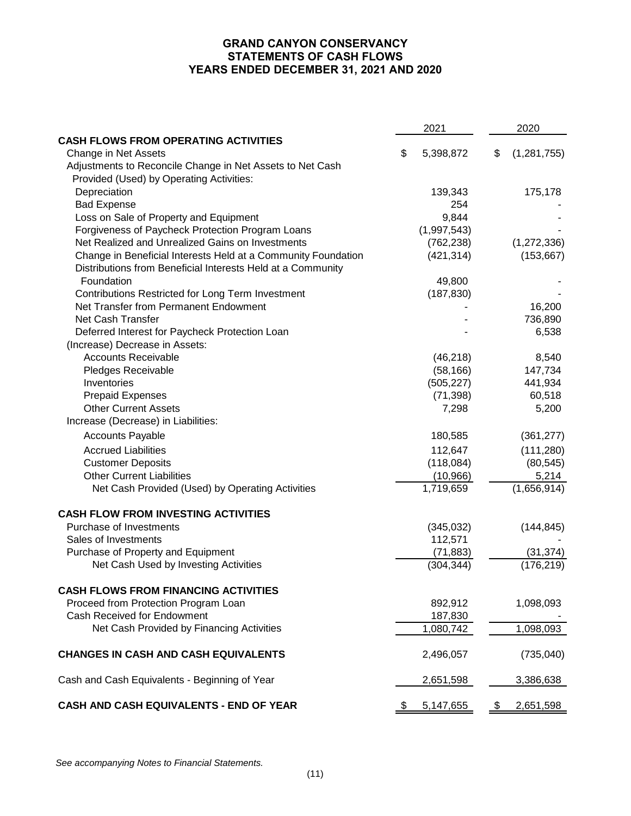# **GRAND CANYON CONSERVANCY STATEMENTS OF CASH FLOWS YEARS ENDED DECEMBER 31, 2021 AND 2020**

|                                                               | 2021            | 2020                |
|---------------------------------------------------------------|-----------------|---------------------|
| <b>CASH FLOWS FROM OPERATING ACTIVITIES</b>                   |                 |                     |
| Change in Net Assets                                          | \$<br>5,398,872 | \$<br>(1, 281, 755) |
| Adjustments to Reconcile Change in Net Assets to Net Cash     |                 |                     |
| Provided (Used) by Operating Activities:                      |                 |                     |
| Depreciation                                                  | 139,343         | 175,178             |
| <b>Bad Expense</b>                                            | 254             |                     |
| Loss on Sale of Property and Equipment                        | 9,844           |                     |
| Forgiveness of Paycheck Protection Program Loans              | (1,997,543)     |                     |
| Net Realized and Unrealized Gains on Investments              | (762, 238)      | (1, 272, 336)       |
| Change in Beneficial Interests Held at a Community Foundation | (421, 314)      | (153, 667)          |
| Distributions from Beneficial Interests Held at a Community   |                 |                     |
| Foundation                                                    | 49,800          |                     |
| Contributions Restricted for Long Term Investment             | (187, 830)      |                     |
| Net Transfer from Permanent Endowment                         |                 | 16,200              |
| Net Cash Transfer                                             |                 | 736,890             |
| Deferred Interest for Paycheck Protection Loan                |                 | 6,538               |
| (Increase) Decrease in Assets:                                |                 |                     |
| <b>Accounts Receivable</b>                                    | (46, 218)       | 8,540               |
| Pledges Receivable                                            | (58, 166)       | 147,734             |
| Inventories                                                   | (505, 227)      | 441,934             |
| <b>Prepaid Expenses</b>                                       | (71, 398)       | 60,518              |
| <b>Other Current Assets</b>                                   | 7,298           | 5,200               |
| Increase (Decrease) in Liabilities:                           |                 |                     |
| <b>Accounts Payable</b>                                       | 180,585         | (361, 277)          |
| <b>Accrued Liabilities</b>                                    | 112,647         | (111, 280)          |
| <b>Customer Deposits</b>                                      | (118,084)       | (80, 545)           |
| <b>Other Current Liabilities</b>                              | (10, 966)       | 5,214               |
| Net Cash Provided (Used) by Operating Activities              | 1,719,659       | (1,656,914)         |
| <b>CASH FLOW FROM INVESTING ACTIVITIES</b>                    |                 |                     |
| Purchase of Investments                                       | (345, 032)      | (144, 845)          |
| Sales of Investments                                          | 112,571         |                     |
| Purchase of Property and Equipment                            | (71, 883)       | (31, 374)           |
| Net Cash Used by Investing Activities                         | (304, 344)      | (176, 219)          |
| <b>CASH FLOWS FROM FINANCING ACTIVITIES</b>                   |                 |                     |
| Proceed from Protection Program Loan                          | 892,912         | 1,098,093           |
| Cash Received for Endowment                                   | 187,830         |                     |
| Net Cash Provided by Financing Activities                     | 1,080,742       | 1,098,093           |
| <b>CHANGES IN CASH AND CASH EQUIVALENTS</b>                   | 2,496,057       | (735,040)           |
| Cash and Cash Equivalents - Beginning of Year                 | 2,651,598       | 3,386,638           |
| CASH AND CASH EQUIVALENTS - END OF YEAR                       | \$<br>5,147,655 | \$<br>2,651,598     |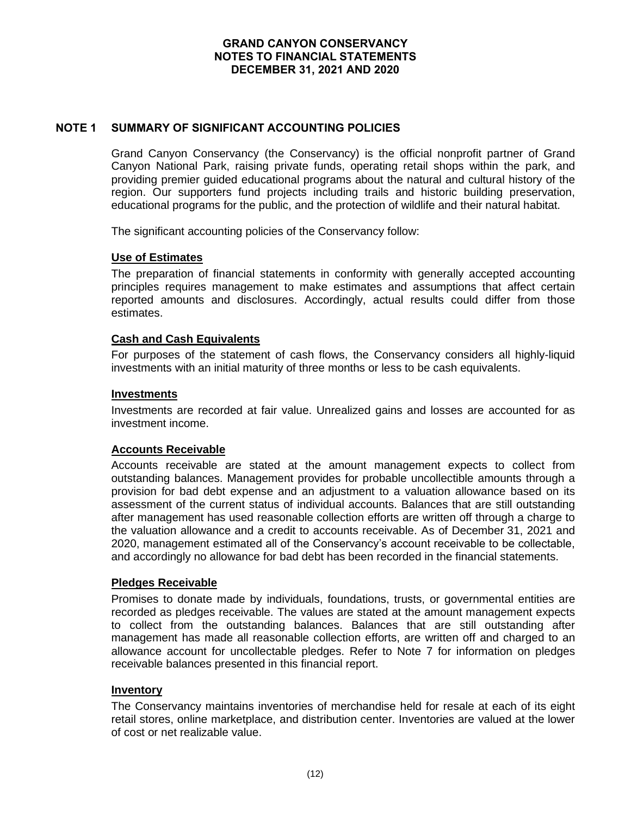# **NOTE 1 SUMMARY OF SIGNIFICANT ACCOUNTING POLICIES**

Grand Canyon Conservancy (the Conservancy) is the official nonprofit partner of Grand Canyon National Park, raising private funds, operating retail shops within the park, and providing premier guided educational programs about the natural and cultural history of the region. Our supporters fund projects including trails and historic building preservation, educational programs for the public, and the protection of wildlife and their natural habitat.

The significant accounting policies of the Conservancy follow:

### **Use of Estimates**

The preparation of financial statements in conformity with generally accepted accounting principles requires management to make estimates and assumptions that affect certain reported amounts and disclosures. Accordingly, actual results could differ from those estimates.

### **Cash and Cash Equivalents**

For purposes of the statement of cash flows, the Conservancy considers all highly-liquid investments with an initial maturity of three months or less to be cash equivalents.

#### **Investments**

Investments are recorded at fair value. Unrealized gains and losses are accounted for as investment income.

### **Accounts Receivable**

Accounts receivable are stated at the amount management expects to collect from outstanding balances. Management provides for probable uncollectible amounts through a provision for bad debt expense and an adjustment to a valuation allowance based on its assessment of the current status of individual accounts. Balances that are still outstanding after management has used reasonable collection efforts are written off through a charge to the valuation allowance and a credit to accounts receivable. As of December 31, 2021 and 2020, management estimated all of the Conservancy's account receivable to be collectable, and accordingly no allowance for bad debt has been recorded in the financial statements.

### **Pledges Receivable**

Promises to donate made by individuals, foundations, trusts, or governmental entities are recorded as pledges receivable. The values are stated at the amount management expects to collect from the outstanding balances. Balances that are still outstanding after management has made all reasonable collection efforts, are written off and charged to an allowance account for uncollectable pledges. Refer to Note 7 for information on pledges receivable balances presented in this financial report.

#### **Inventory**

The Conservancy maintains inventories of merchandise held for resale at each of its eight retail stores, online marketplace, and distribution center. Inventories are valued at the lower of cost or net realizable value.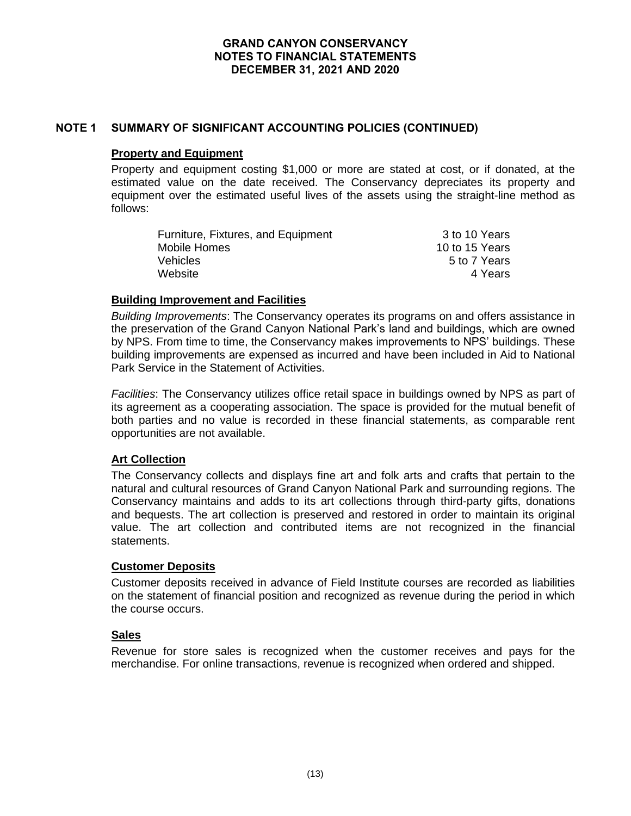## **NOTE 1 SUMMARY OF SIGNIFICANT ACCOUNTING POLICIES (CONTINUED)**

#### **Property and Equipment**

Property and equipment costing \$1,000 or more are stated at cost, or if donated, at the estimated value on the date received. The Conservancy depreciates its property and equipment over the estimated useful lives of the assets using the straight-line method as follows:

| Furniture, Fixtures, and Equipment | 3 to 10 Years  |
|------------------------------------|----------------|
| Mobile Homes                       | 10 to 15 Years |
| Vehicles                           | 5 to 7 Years   |
| Website                            | 4 Years        |

## **Building Improvement and Facilities**

*Building Improvements*: The Conservancy operates its programs on and offers assistance in the preservation of the Grand Canyon National Park's land and buildings, which are owned by NPS. From time to time, the Conservancy makes improvements to NPS' buildings. These building improvements are expensed as incurred and have been included in Aid to National Park Service in the Statement of Activities.

*Facilities*: The Conservancy utilizes office retail space in buildings owned by NPS as part of its agreement as a cooperating association. The space is provided for the mutual benefit of both parties and no value is recorded in these financial statements, as comparable rent opportunities are not available.

# **Art Collection**

The Conservancy collects and displays fine art and folk arts and crafts that pertain to the natural and cultural resources of Grand Canyon National Park and surrounding regions. The Conservancy maintains and adds to its art collections through third-party gifts, donations and bequests. The art collection is preserved and restored in order to maintain its original value. The art collection and contributed items are not recognized in the financial statements.

### **Customer Deposits**

Customer deposits received in advance of Field Institute courses are recorded as liabilities on the statement of financial position and recognized as revenue during the period in which the course occurs.

### **Sales**

Revenue for store sales is recognized when the customer receives and pays for the merchandise. For online transactions, revenue is recognized when ordered and shipped.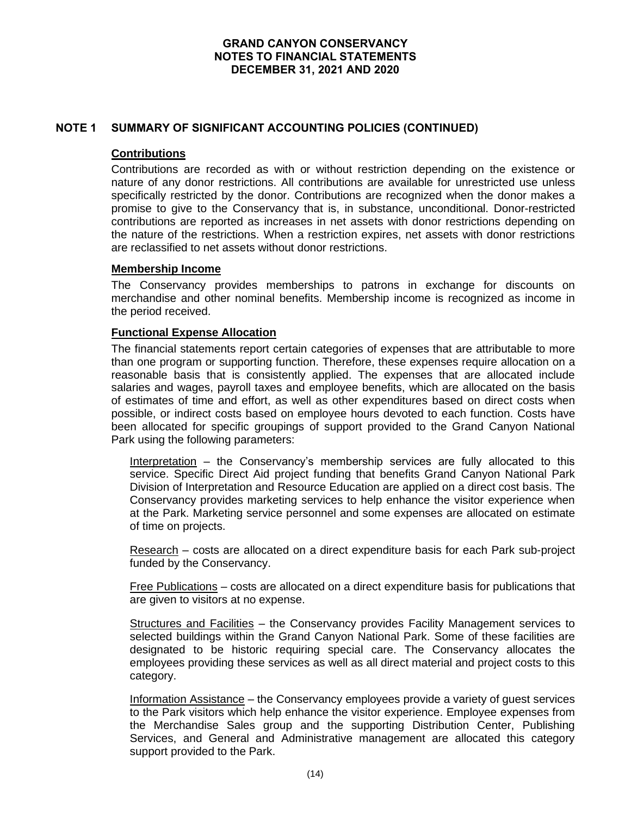# **NOTE 1 SUMMARY OF SIGNIFICANT ACCOUNTING POLICIES (CONTINUED)**

# **Contributions**

Contributions are recorded as with or without restriction depending on the existence or nature of any donor restrictions. All contributions are available for unrestricted use unless specifically restricted by the donor. Contributions are recognized when the donor makes a promise to give to the Conservancy that is, in substance, unconditional. Donor-restricted contributions are reported as increases in net assets with donor restrictions depending on the nature of the restrictions. When a restriction expires, net assets with donor restrictions are reclassified to net assets without donor restrictions.

# **Membership Income**

The Conservancy provides memberships to patrons in exchange for discounts on merchandise and other nominal benefits. Membership income is recognized as income in the period received.

## **Functional Expense Allocation**

The financial statements report certain categories of expenses that are attributable to more than one program or supporting function. Therefore, these expenses require allocation on a reasonable basis that is consistently applied. The expenses that are allocated include salaries and wages, payroll taxes and employee benefits, which are allocated on the basis of estimates of time and effort, as well as other expenditures based on direct costs when possible, or indirect costs based on employee hours devoted to each function. Costs have been allocated for specific groupings of support provided to the Grand Canyon National Park using the following parameters:

Interpretation – the Conservancy's membership services are fully allocated to this service. Specific Direct Aid project funding that benefits Grand Canyon National Park Division of Interpretation and Resource Education are applied on a direct cost basis. The Conservancy provides marketing services to help enhance the visitor experience when at the Park. Marketing service personnel and some expenses are allocated on estimate of time on projects.

Research – costs are allocated on a direct expenditure basis for each Park sub-project funded by the Conservancy.

Free Publications – costs are allocated on a direct expenditure basis for publications that are given to visitors at no expense.

Structures and Facilities – the Conservancy provides Facility Management services to selected buildings within the Grand Canyon National Park. Some of these facilities are designated to be historic requiring special care. The Conservancy allocates the employees providing these services as well as all direct material and project costs to this category.

Information Assistance – the Conservancy employees provide a variety of guest services to the Park visitors which help enhance the visitor experience. Employee expenses from the Merchandise Sales group and the supporting Distribution Center, Publishing Services, and General and Administrative management are allocated this category support provided to the Park.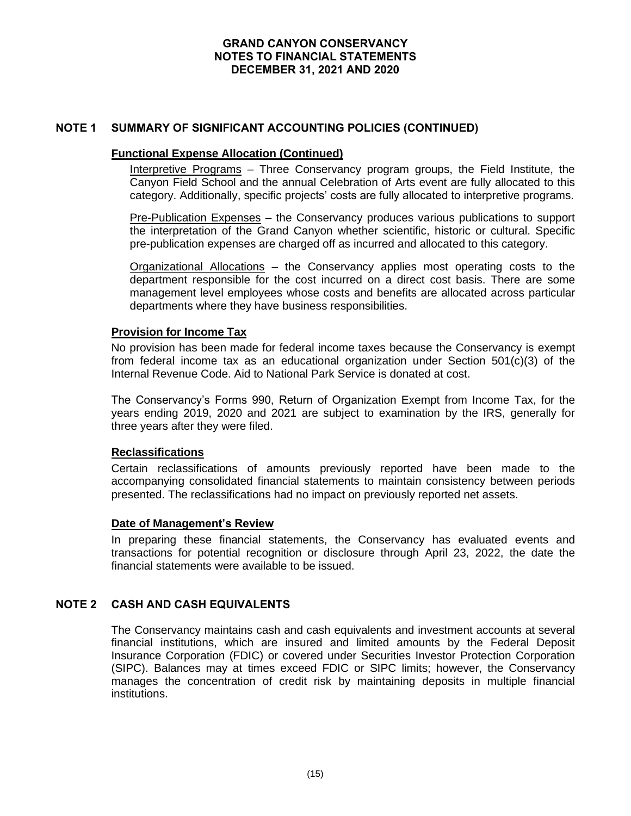## **NOTE 1 SUMMARY OF SIGNIFICANT ACCOUNTING POLICIES (CONTINUED)**

#### **Functional Expense Allocation (Continued)**

Interpretive Programs – Three Conservancy program groups, the Field Institute, the Canyon Field School and the annual Celebration of Arts event are fully allocated to this category. Additionally, specific projects' costs are fully allocated to interpretive programs.

Pre-Publication Expenses - the Conservancy produces various publications to support the interpretation of the Grand Canyon whether scientific, historic or cultural. Specific pre-publication expenses are charged off as incurred and allocated to this category.

Organizational Allocations – the Conservancy applies most operating costs to the department responsible for the cost incurred on a direct cost basis. There are some management level employees whose costs and benefits are allocated across particular departments where they have business responsibilities.

### **Provision for Income Tax**

No provision has been made for federal income taxes because the Conservancy is exempt from federal income tax as an educational organization under Section 501(c)(3) of the Internal Revenue Code. Aid to National Park Service is donated at cost.

The Conservancy's Forms 990, Return of Organization Exempt from Income Tax, for the years ending 2019, 2020 and 2021 are subject to examination by the IRS, generally for three years after they were filed.

### **Reclassifications**

Certain reclassifications of amounts previously reported have been made to the accompanying consolidated financial statements to maintain consistency between periods presented. The reclassifications had no impact on previously reported net assets.

### **Date of Management's Review**

In preparing these financial statements, the Conservancy has evaluated events and transactions for potential recognition or disclosure through April 23, 2022, the date the financial statements were available to be issued.

# **NOTE 2 CASH AND CASH EQUIVALENTS**

The Conservancy maintains cash and cash equivalents and investment accounts at several financial institutions, which are insured and limited amounts by the Federal Deposit Insurance Corporation (FDIC) or covered under Securities Investor Protection Corporation (SIPC). Balances may at times exceed FDIC or SIPC limits; however, the Conservancy manages the concentration of credit risk by maintaining deposits in multiple financial institutions.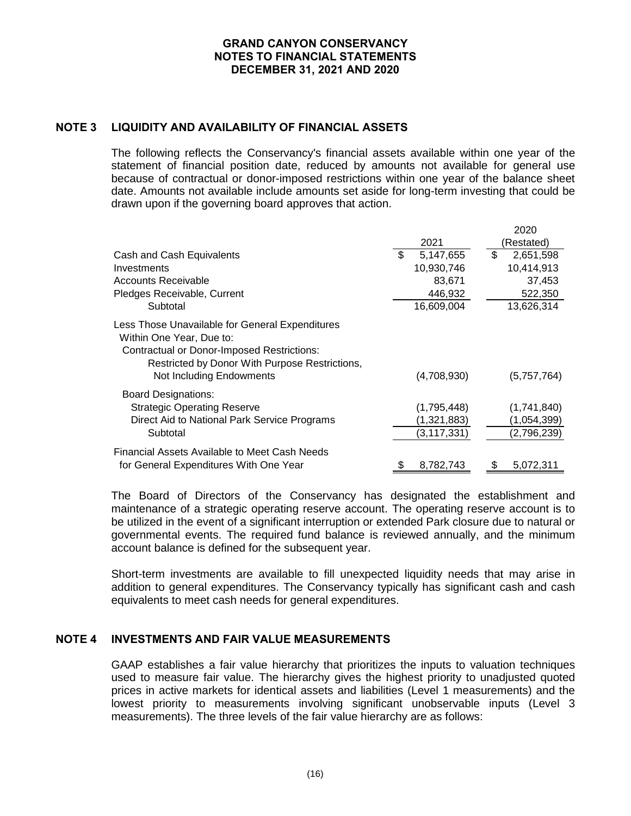# **NOTE 3 LIQUIDITY AND AVAILABILITY OF FINANCIAL ASSETS**

The following reflects the Conservancy's financial assets available within one year of the statement of financial position date, reduced by amounts not available for general use because of contractual or donor-imposed restrictions within one year of the balance sheet date. Amounts not available include amounts set aside for long-term investing that could be drawn upon if the governing board approves that action.

|                                                                                                                                                                                                                |     |                                             | 2020                                      |
|----------------------------------------------------------------------------------------------------------------------------------------------------------------------------------------------------------------|-----|---------------------------------------------|-------------------------------------------|
|                                                                                                                                                                                                                |     | 2021                                        | (Restated)                                |
| Cash and Cash Equivalents                                                                                                                                                                                      | \$. | 5,147,655                                   | \$<br>2,651,598                           |
| Investments                                                                                                                                                                                                    |     | 10,930,746                                  | 10,414,913                                |
| Accounts Receivable                                                                                                                                                                                            |     | 83,671                                      | 37,453                                    |
| Pledges Receivable, Current                                                                                                                                                                                    |     | 446,932                                     | 522,350                                   |
| Subtotal                                                                                                                                                                                                       |     | 16,609,004                                  | 13,626,314                                |
| Less Those Unavailable for General Expenditures<br>Within One Year, Due to:<br><b>Contractual or Donor-Imposed Restrictions:</b><br>Restricted by Donor With Purpose Restrictions,<br>Not Including Endowments |     | (4,708,930)                                 | (5,757,764)                               |
| Board Designations:<br><b>Strategic Operating Reserve</b><br>Direct Aid to National Park Service Programs<br>Subtotal                                                                                          |     | (1,795,448)<br>(1,321,883)<br>(3, 117, 331) | (1,741,840)<br>(1,054,399)<br>(2,796,239) |
| Financial Assets Available to Meet Cash Needs<br>for General Expenditures With One Year                                                                                                                        |     | 8,782,743                                   | 5,072,311                                 |

The Board of Directors of the Conservancy has designated the establishment and maintenance of a strategic operating reserve account. The operating reserve account is to be utilized in the event of a significant interruption or extended Park closure due to natural or governmental events. The required fund balance is reviewed annually, and the minimum account balance is defined for the subsequent year.

Short-term investments are available to fill unexpected liquidity needs that may arise in addition to general expenditures. The Conservancy typically has significant cash and cash equivalents to meet cash needs for general expenditures.

### **NOTE 4 INVESTMENTS AND FAIR VALUE MEASUREMENTS**

GAAP establishes a fair value hierarchy that prioritizes the inputs to valuation techniques used to measure fair value. The hierarchy gives the highest priority to unadjusted quoted prices in active markets for identical assets and liabilities (Level 1 measurements) and the lowest priority to measurements involving significant unobservable inputs (Level 3 measurements). The three levels of the fair value hierarchy are as follows: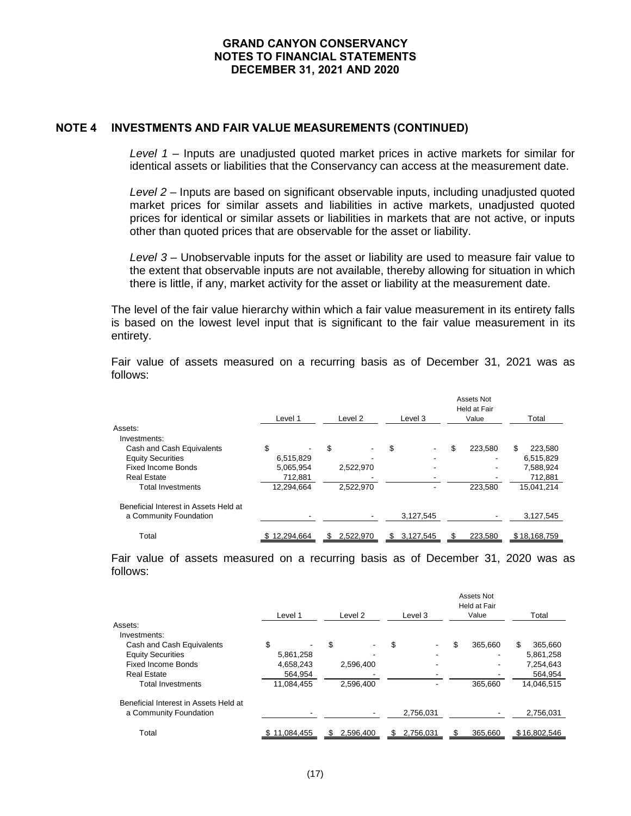#### **NOTE 4 INVESTMENTS AND FAIR VALUE MEASUREMENTS (CONTINUED)**

*Level 1* – Inputs are unadjusted quoted market prices in active markets for similar for identical assets or liabilities that the Conservancy can access at the measurement date.

*Level 2* – Inputs are based on significant observable inputs, including unadjusted quoted market prices for similar assets and liabilities in active markets, unadjusted quoted prices for identical or similar assets or liabilities in markets that are not active, or inputs other than quoted prices that are observable for the asset or liability.

*Level 3* – Unobservable inputs for the asset or liability are used to measure fair value to the extent that observable inputs are not available, thereby allowing for situation in which there is little, if any, market activity for the asset or liability at the measurement date.

The level of the fair value hierarchy within which a fair value measurement in its entirety falls is based on the lowest level input that is significant to the fair value measurement in its entirety.

|                                       |     | Level 1    | Level 2   |    | Level 3   |    | Assets Not<br>Held at Fair<br>Value | Total |              |
|---------------------------------------|-----|------------|-----------|----|-----------|----|-------------------------------------|-------|--------------|
| Assets:                               |     |            |           |    |           |    |                                     |       |              |
| Investments:                          |     |            |           |    |           |    |                                     |       |              |
| Cash and Cash Equivalents             | \$  |            | \$        | \$ | -         | \$ | 223.580                             | \$    | 223,580      |
| <b>Equity Securities</b>              |     | 6,515,829  |           |    | -         |    |                                     |       | 6,515,829    |
| <b>Fixed Income Bonds</b>             |     | 5,065,954  | 2,522,970 |    | ٠         |    |                                     |       | 7,588,924    |
| <b>Real Estate</b>                    |     | 712.881    |           |    |           |    |                                     |       | 712,881      |
| <b>Total Investments</b>              |     | 12,294,664 | 2,522,970 |    |           |    | 223.580                             |       | 15,041,214   |
| Beneficial Interest in Assets Held at |     |            |           |    |           |    |                                     |       |              |
| a Community Foundation                |     |            |           |    | 3,127,545 |    |                                     |       | 3,127,545    |
| Total                                 | SS. | 12,294,664 | 2,522,970 | S  | 3,127,545 | S  | 223,580                             |       | \$18,168,759 |

Fair value of assets measured on a recurring basis as of December 31, 2021 was as follows:

Fair value of assets measured on a recurring basis as of December 31, 2020 was as follows:

|                                       | Level 1      |                          | Level 2 |           |    | Level 3   | Assets Not<br>Held at Fair<br>Value | Total         |
|---------------------------------------|--------------|--------------------------|---------|-----------|----|-----------|-------------------------------------|---------------|
| Assets:                               |              |                          |         |           |    |           |                                     |               |
| Investments:                          |              |                          |         |           |    |           |                                     |               |
| Cash and Cash Equivalents             | \$           | $\overline{\phantom{a}}$ | \$      |           | \$ |           | \$<br>365.660                       | \$<br>365,660 |
| <b>Equity Securities</b>              |              | 5,861,258                |         |           |    |           |                                     | 5,861,258     |
| <b>Fixed Income Bonds</b>             |              | 4,658,243                |         | 2,596,400 |    |           |                                     | 7,254,643     |
| <b>Real Estate</b>                    |              | 564.954                  |         |           |    |           |                                     | 564,954       |
| <b>Total Investments</b>              |              | 11,084,455               |         | 2,596,400 |    |           | 365.660                             | 14,046,515    |
| Beneficial Interest in Assets Held at |              |                          |         |           |    |           |                                     |               |
| a Community Foundation                |              |                          |         |           |    | 2,756,031 |                                     | 2,756,031     |
| Total                                 | \$11,084,455 |                          | SБ      | 2,596,400 | S. | 2,756,031 | 365,660                             | \$16,802,546  |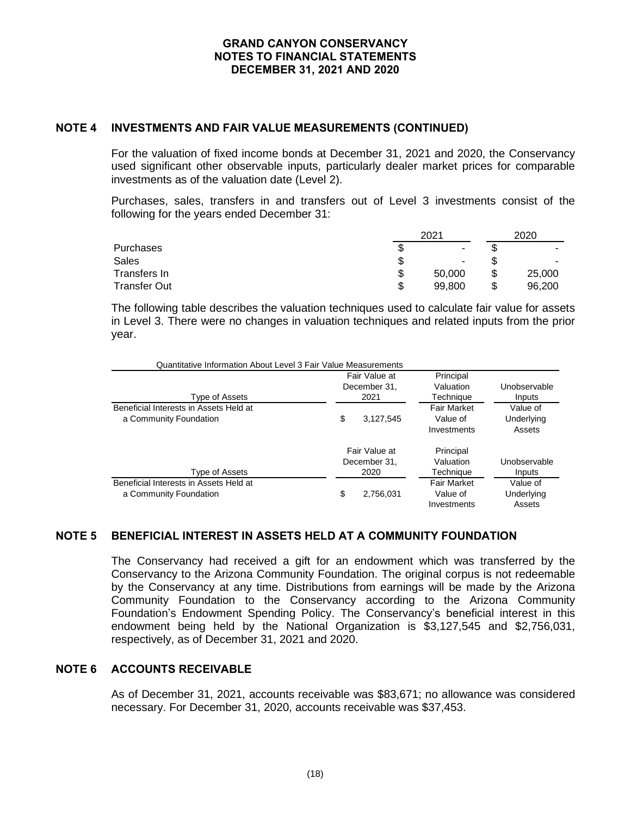### **NOTE 4 INVESTMENTS AND FAIR VALUE MEASUREMENTS (CONTINUED)**

For the valuation of fixed income bonds at December 31, 2021 and 2020, the Conservancy used significant other observable inputs, particularly dealer market prices for comparable investments as of the valuation date (Level 2).

Purchases, sales, transfers in and transfers out of Level 3 investments consist of the following for the years ended December 31:

|                  |    | 2020   |  |                          |
|------------------|----|--------|--|--------------------------|
| <b>Purchases</b> | J  |        |  |                          |
| <b>Sales</b>     | S  | ۰.     |  | $\overline{\phantom{a}}$ |
| Transfers In     | \$ | 50,000 |  | 25,000                   |
| Transfer Out     | c  | 99,800 |  | 96.200                   |

The following table describes the valuation techniques used to calculate fair value for assets in Level 3. There were no changes in valuation techniques and related inputs from the prior year.

| Quantitative Information About Level 3 Fair Value Measurements   |                                       |                                       |                                               |                                  |
|------------------------------------------------------------------|---------------------------------------|---------------------------------------|-----------------------------------------------|----------------------------------|
| Type of Assets                                                   |                                       | Fair Value at<br>December 31.<br>2021 | Principal<br>Valuation<br>Techniaue           | Unobservable<br>Inputs           |
| Beneficial Interests in Assets Held at<br>a Community Foundation | \$                                    | 3.127.545                             | <b>Fair Market</b><br>Value of<br>Investments | Value of<br>Underlying<br>Assets |
| Type of Assets                                                   | Fair Value at<br>December 31.<br>2020 |                                       | Principal<br>Valuation<br>Techniaue           | Unobservable<br>Inputs           |
| Beneficial Interests in Assets Held at<br>a Community Foundation | \$                                    | 2.756.031                             | <b>Fair Market</b><br>Value of<br>Investments | Value of<br>Underlying<br>Assets |

# **NOTE 5 BENEFICIAL INTEREST IN ASSETS HELD AT A COMMUNITY FOUNDATION**

The Conservancy had received a gift for an endowment which was transferred by the Conservancy to the Arizona Community Foundation. The original corpus is not redeemable by the Conservancy at any time. Distributions from earnings will be made by the Arizona Community Foundation to the Conservancy according to the Arizona Community Foundation's Endowment Spending Policy. The Conservancy's beneficial interest in this endowment being held by the National Organization is \$3,127,545 and \$2,756,031, respectively, as of December 31, 2021 and 2020.

# **NOTE 6 ACCOUNTS RECEIVABLE**

As of December 31, 2021, accounts receivable was \$83,671; no allowance was considered necessary. For December 31, 2020, accounts receivable was \$37,453.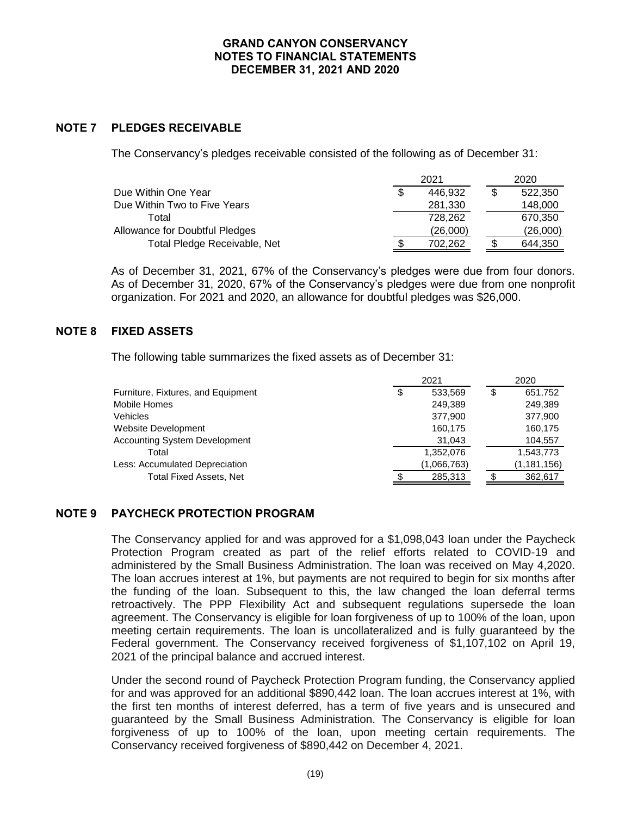# **NOTE 7 PLEDGES RECEIVABLE**

The Conservancy's pledges receivable consisted of the following as of December 31:

|                                       |  | 2020     |          |  |
|---------------------------------------|--|----------|----------|--|
| Due Within One Year                   |  | 446.932  | 522,350  |  |
| Due Within Two to Five Years          |  | 281,330  | 148,000  |  |
| Total                                 |  | 728.262  | 670,350  |  |
| <b>Allowance for Doubtful Pledges</b> |  | (26,000) | (26,000) |  |
| Total Pledge Receivable, Net          |  | 702.262  | 644,350  |  |

As of December 31, 2021, 67% of the Conservancy's pledges were due from four donors. As of December 31, 2020, 67% of the Conservancy's pledges were due from one nonprofit organization. For 2021 and 2020, an allowance for doubtful pledges was \$26,000.

# **NOTE 8 FIXED ASSETS**

The following table summarizes the fixed assets as of December 31:

|                                      | 2021 |             |    | 2020          |  |  |  |
|--------------------------------------|------|-------------|----|---------------|--|--|--|
| Furniture, Fixtures, and Equipment   | \$   | 533,569     | \$ | 651,752       |  |  |  |
| Mobile Homes                         |      | 249.389     |    | 249,389       |  |  |  |
| Vehicles                             |      | 377.900     |    | 377,900       |  |  |  |
| Website Development                  |      | 160,175     |    | 160,175       |  |  |  |
| <b>Accounting System Development</b> |      | 31,043      |    | 104,557       |  |  |  |
| Total                                |      | 1,352,076   |    | 1,543,773     |  |  |  |
| Less: Accumulated Depreciation       |      | (1,066,763) |    | (1, 181, 156) |  |  |  |
| <b>Total Fixed Assets, Net</b>       |      | 285,313     |    | 362,617       |  |  |  |
|                                      |      |             |    |               |  |  |  |

# **NOTE 9 PAYCHECK PROTECTION PROGRAM**

The Conservancy applied for and was approved for a \$1,098,043 loan under the Paycheck Protection Program created as part of the relief efforts related to COVID-19 and administered by the Small Business Administration. The loan was received on May 4,2020. The loan accrues interest at 1%, but payments are not required to begin for six months after the funding of the loan. Subsequent to this, the law changed the loan deferral terms retroactively. The PPP Flexibility Act and subsequent regulations supersede the loan agreement. The Conservancy is eligible for loan forgiveness of up to 100% of the loan, upon meeting certain requirements. The loan is uncollateralized and is fully guaranteed by the Federal government. The Conservancy received forgiveness of \$1,107,102 on April 19, 2021 of the principal balance and accrued interest.

Under the second round of Paycheck Protection Program funding, the Conservancy applied for and was approved for an additional \$890,442 loan. The loan accrues interest at 1%, with the first ten months of interest deferred, has a term of five years and is unsecured and guaranteed by the Small Business Administration. The Conservancy is eligible for loan forgiveness of up to 100% of the loan, upon meeting certain requirements. The Conservancy received forgiveness of \$890,442 on December 4, 2021.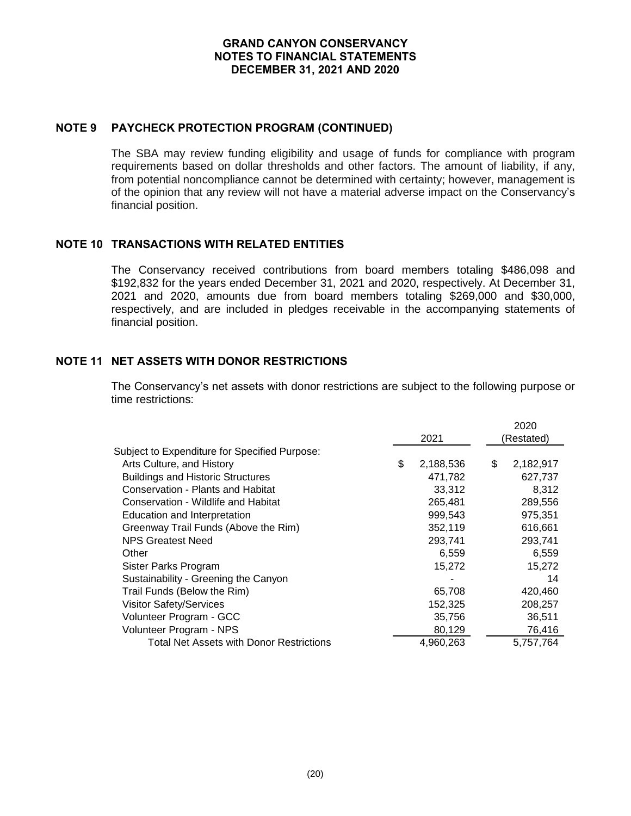### **NOTE 9 PAYCHECK PROTECTION PROGRAM (CONTINUED)**

The SBA may review funding eligibility and usage of funds for compliance with program requirements based on dollar thresholds and other factors. The amount of liability, if any, from potential noncompliance cannot be determined with certainty; however, management is of the opinion that any review will not have a material adverse impact on the Conservancy's financial position.

# **NOTE 10 TRANSACTIONS WITH RELATED ENTITIES**

The Conservancy received contributions from board members totaling \$486,098 and \$192,832 for the years ended December 31, 2021 and 2020, respectively. At December 31, 2021 and 2020, amounts due from board members totaling \$269,000 and \$30,000, respectively, and are included in pledges receivable in the accompanying statements of financial position.

## **NOTE 11 NET ASSETS WITH DONOR RESTRICTIONS**

The Conservancy's net assets with donor restrictions are subject to the following purpose or time restrictions:

|                                               |                 | 2020            |
|-----------------------------------------------|-----------------|-----------------|
|                                               | 2021            | (Restated)      |
| Subject to Expenditure for Specified Purpose: |                 |                 |
| Arts Culture, and History                     | \$<br>2,188,536 | \$<br>2,182,917 |
| <b>Buildings and Historic Structures</b>      | 471,782         | 627,737         |
| Conservation - Plants and Habitat             | 33,312          | 8,312           |
| Conservation - Wildlife and Habitat           | 265,481         | 289,556         |
| Education and Interpretation                  | 999,543         | 975.351         |
| Greenway Trail Funds (Above the Rim)          | 352,119         | 616,661         |
| <b>NPS Greatest Need</b>                      | 293,741         | 293,741         |
| Other                                         | 6,559           | 6,559           |
| Sister Parks Program                          | 15,272          | 15,272          |
| Sustainability - Greening the Canyon          |                 | 14              |
| Trail Funds (Below the Rim)                   | 65,708          | 420,460         |
| <b>Visitor Safety/Services</b>                | 152,325         | 208,257         |
| Volunteer Program - GCC                       | 35,756          | 36,511          |
| Volunteer Program - NPS                       | 80,129          | 76,416          |
| Total Net Assets with Donor Restrictions      | 4,960,263       | 5,757,764       |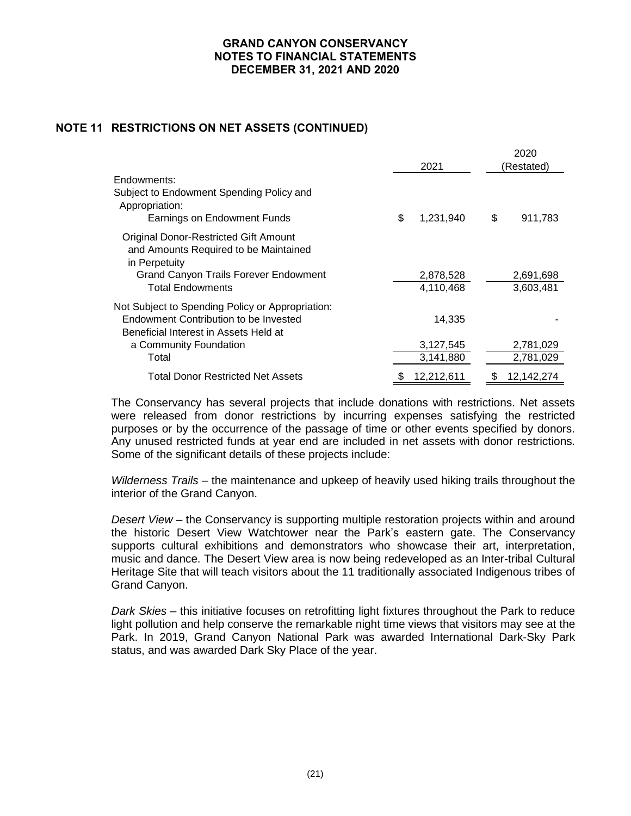# **NOTE 11 RESTRICTIONS ON NET ASSETS (CONTINUED)**

|                                                                                                                                                                                   |    | 2021                             |    | 2020<br>(Restated)     |  |  |  |
|-----------------------------------------------------------------------------------------------------------------------------------------------------------------------------------|----|----------------------------------|----|------------------------|--|--|--|
| Endowments:<br>Subject to Endowment Spending Policy and<br>Appropriation:<br>Earnings on Endowment Funds                                                                          | \$ | 1,231,940                        | \$ | 911,783                |  |  |  |
| <b>Original Donor-Restricted Gift Amount</b><br>and Amounts Required to be Maintained<br>in Perpetuity<br><b>Grand Canyon Trails Forever Endowment</b><br><b>Total Endowments</b> |    | 2,878,528<br>4,110,468           |    | 2,691,698<br>3,603,481 |  |  |  |
| Not Subject to Spending Policy or Appropriation:<br>Endowment Contribution to be Invested<br>Beneficial Interest in Assets Held at<br>a Community Foundation<br>Total             |    | 14,335<br>3,127,545<br>3,141,880 |    | 2,781,029<br>2,781,029 |  |  |  |
| <b>Total Donor Restricted Net Assets</b>                                                                                                                                          | æ. | 12,212,611                       | S  | 12,142,274             |  |  |  |

The Conservancy has several projects that include donations with restrictions. Net assets were released from donor restrictions by incurring expenses satisfying the restricted purposes or by the occurrence of the passage of time or other events specified by donors. Any unused restricted funds at year end are included in net assets with donor restrictions. Some of the significant details of these projects include:

*Wilderness Trails* – the maintenance and upkeep of heavily used hiking trails throughout the interior of the Grand Canyon.

*Desert View* – the Conservancy is supporting multiple restoration projects within and around the historic Desert View Watchtower near the Park's eastern gate. The Conservancy supports cultural exhibitions and demonstrators who showcase their art, interpretation, music and dance. The Desert View area is now being redeveloped as an Inter-tribal Cultural Heritage Site that will teach visitors about the 11 traditionally associated Indigenous tribes of Grand Canyon.

*Dark Skies* – this initiative focuses on retrofitting light fixtures throughout the Park to reduce light pollution and help conserve the remarkable night time views that visitors may see at the Park. In 2019, Grand Canyon National Park was awarded International Dark-Sky Park status, and was awarded Dark Sky Place of the year.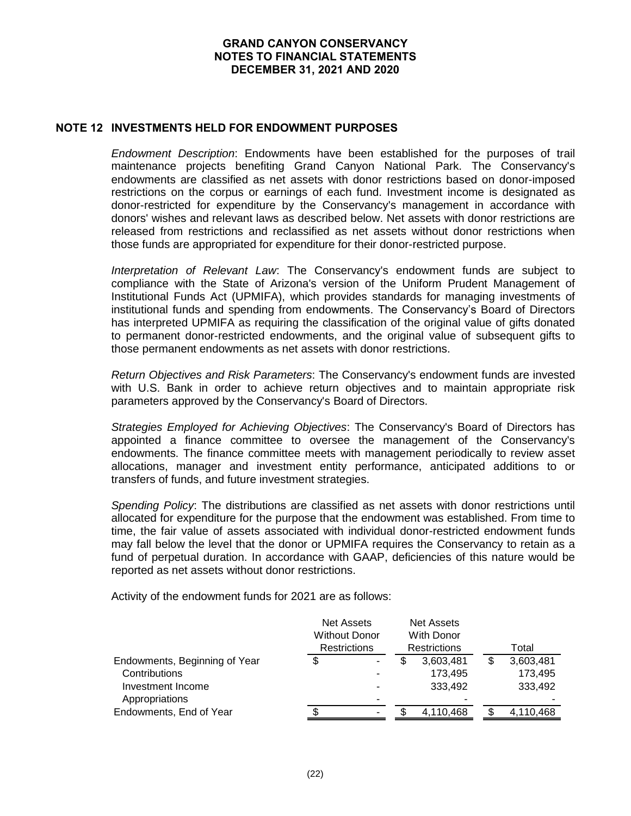### **NOTE 12 INVESTMENTS HELD FOR ENDOWMENT PURPOSES**

*Endowment Description*: Endowments have been established for the purposes of trail maintenance projects benefiting Grand Canyon National Park. The Conservancy's endowments are classified as net assets with donor restrictions based on donor-imposed restrictions on the corpus or earnings of each fund. Investment income is designated as donor-restricted for expenditure by the Conservancy's management in accordance with donors' wishes and relevant laws as described below. Net assets with donor restrictions are released from restrictions and reclassified as net assets without donor restrictions when those funds are appropriated for expenditure for their donor-restricted purpose.

*Interpretation of Relevant Law*: The Conservancy's endowment funds are subject to compliance with the State of Arizona's version of the Uniform Prudent Management of Institutional Funds Act (UPMIFA), which provides standards for managing investments of institutional funds and spending from endowments. The Conservancy's Board of Directors has interpreted UPMIFA as requiring the classification of the original value of gifts donated to permanent donor-restricted endowments, and the original value of subsequent gifts to those permanent endowments as net assets with donor restrictions.

*Return Objectives and Risk Parameters*: The Conservancy's endowment funds are invested with U.S. Bank in order to achieve return objectives and to maintain appropriate risk parameters approved by the Conservancy's Board of Directors.

*Strategies Employed for Achieving Objectives*: The Conservancy's Board of Directors has appointed a finance committee to oversee the management of the Conservancy's endowments. The finance committee meets with management periodically to review asset allocations, manager and investment entity performance, anticipated additions to or transfers of funds, and future investment strategies.

*Spending Policy*: The distributions are classified as net assets with donor restrictions until allocated for expenditure for the purpose that the endowment was established. From time to time, the fair value of assets associated with individual donor-restricted endowment funds may fall below the level that the donor or UPMIFA requires the Conservancy to retain as a fund of perpetual duration. In accordance with GAAP, deficiencies of this nature would be reported as net assets without donor restrictions.

Activity of the endowment funds for 2021 are as follows:

|                               | <b>Net Assets</b><br><b>Without Donor</b><br><b>Restrictions</b> |   |   | <b>Net Assets</b><br><b>With Donor</b><br><b>Restrictions</b> | Total |           |  |
|-------------------------------|------------------------------------------------------------------|---|---|---------------------------------------------------------------|-------|-----------|--|
| Endowments, Beginning of Year | \$                                                               |   | S | 3,603,481                                                     |       | 3,603,481 |  |
| Contributions                 |                                                                  |   |   | 173.495                                                       |       | 173.495   |  |
| Investment Income             |                                                                  |   |   | 333,492                                                       |       | 333,492   |  |
| Appropriations                |                                                                  | - |   |                                                               |       |           |  |
| Endowments, End of Year       |                                                                  |   |   | 4.110.468                                                     |       | 4,110,468 |  |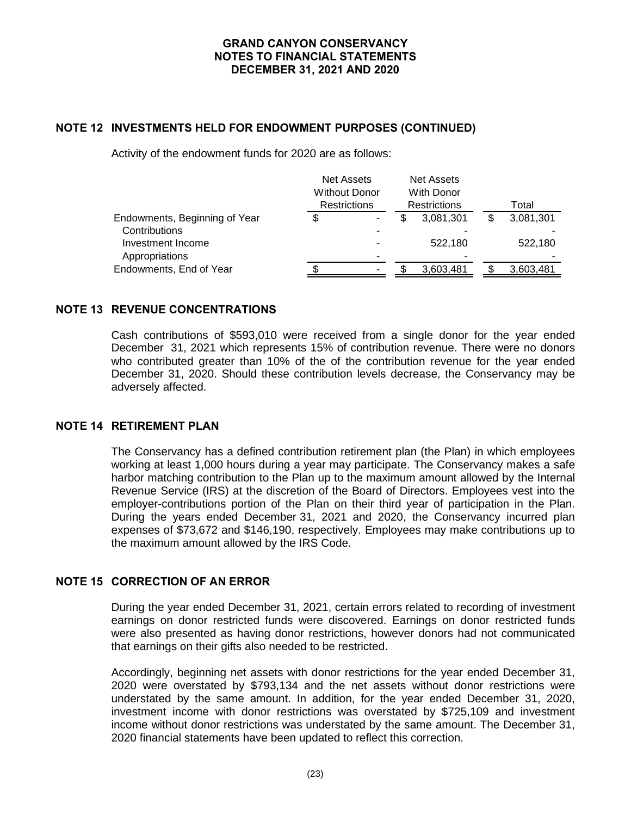## **NOTE 12 INVESTMENTS HELD FOR ENDOWMENT PURPOSES (CONTINUED)**

Activity of the endowment funds for 2020 are as follows:

|                               | <b>Net Assets</b><br><b>Without Donor</b><br>Restrictions |   |  | <b>Net Assets</b><br>With Donor<br><b>Restrictions</b> | Total |           |  |
|-------------------------------|-----------------------------------------------------------|---|--|--------------------------------------------------------|-------|-----------|--|
| Endowments, Beginning of Year |                                                           | ٠ |  | 3,081,301                                              |       | 3,081,301 |  |
| Contributions                 |                                                           | - |  |                                                        |       |           |  |
| Investment Income             |                                                           |   |  | 522.180                                                |       | 522,180   |  |
| Appropriations                |                                                           | ۰ |  |                                                        |       |           |  |
| Endowments, End of Year       |                                                           | - |  | 3,603,481                                              |       | 3,603,481 |  |
|                               |                                                           |   |  |                                                        |       |           |  |

### **NOTE 13 REVENUE CONCENTRATIONS**

Cash contributions of \$593,010 were received from a single donor for the year ended December 31, 2021 which represents 15% of contribution revenue. There were no donors who contributed greater than 10% of the of the contribution revenue for the year ended December 31, 2020. Should these contribution levels decrease, the Conservancy may be adversely affected.

### **NOTE 14 RETIREMENT PLAN**

The Conservancy has a defined contribution retirement plan (the Plan) in which employees working at least 1,000 hours during a year may participate. The Conservancy makes a safe harbor matching contribution to the Plan up to the maximum amount allowed by the Internal Revenue Service (IRS) at the discretion of the Board of Directors. Employees vest into the employer-contributions portion of the Plan on their third year of participation in the Plan. During the years ended December 31, 2021 and 2020, the Conservancy incurred plan expenses of \$73,672 and \$146,190, respectively. Employees may make contributions up to the maximum amount allowed by the IRS Code.

# **NOTE 15 CORRECTION OF AN ERROR**

During the year ended December 31, 2021, certain errors related to recording of investment earnings on donor restricted funds were discovered. Earnings on donor restricted funds were also presented as having donor restrictions, however donors had not communicated that earnings on their gifts also needed to be restricted.

Accordingly, beginning net assets with donor restrictions for the year ended December 31, 2020 were overstated by \$793,134 and the net assets without donor restrictions were understated by the same amount. In addition, for the year ended December 31, 2020, investment income with donor restrictions was overstated by \$725,109 and investment income without donor restrictions was understated by the same amount. The December 31, 2020 financial statements have been updated to reflect this correction.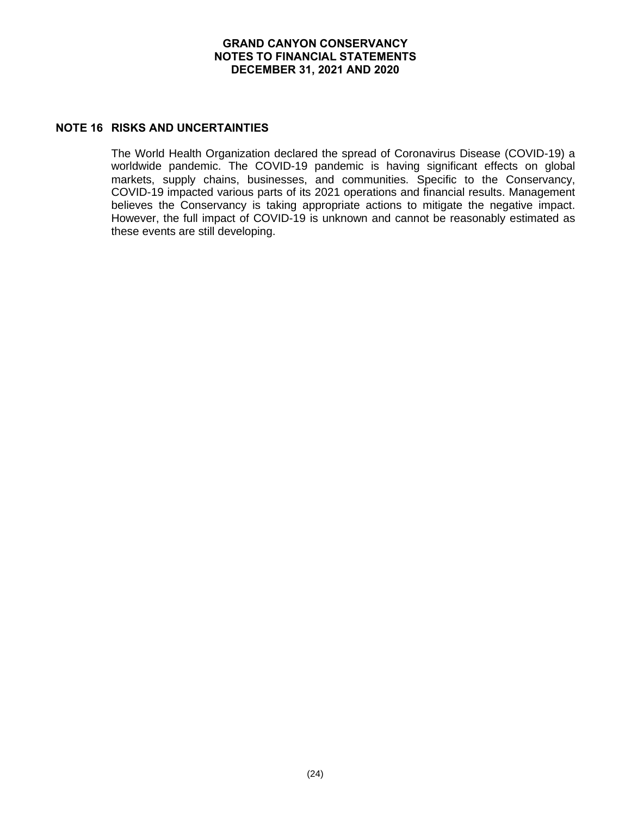### **NOTE 16 RISKS AND UNCERTAINTIES**

The World Health Organization declared the spread of Coronavirus Disease (COVID-19) a worldwide pandemic. The COVID-19 pandemic is having significant effects on global markets, supply chains, businesses, and communities. Specific to the Conservancy, COVID-19 impacted various parts of its 2021 operations and financial results. Management believes the Conservancy is taking appropriate actions to mitigate the negative impact. However, the full impact of COVID-19 is unknown and cannot be reasonably estimated as these events are still developing.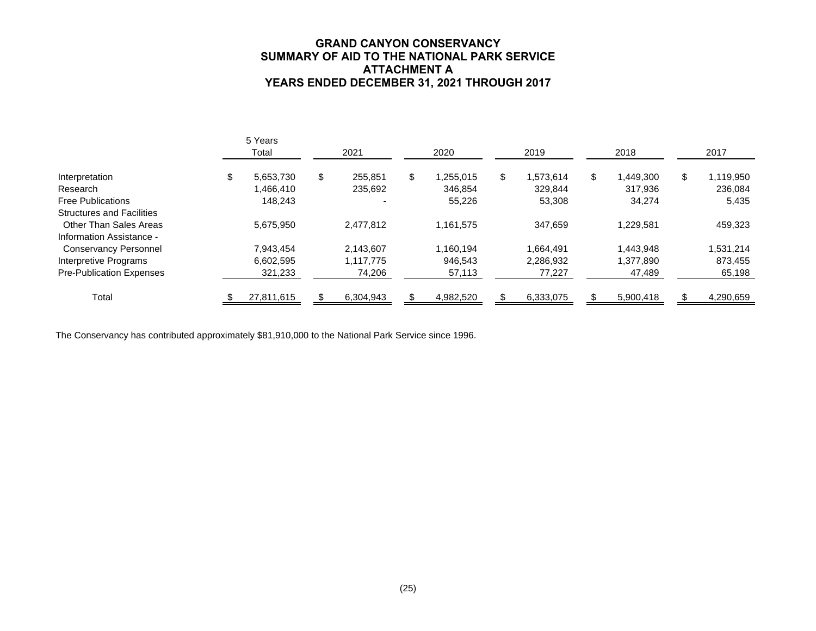## **GRAND CANYON CONSERVANCY SUMMARY OF AID TO THE NATIONAL PARK SERVICE ATTACHMENT A YEARS ENDED DECEMBER 31, 2021 THROUGH 2017**

|                                  |   | 5 Years<br>Total | 2021          |    | 2020      |    | 2019      |    | 2018      |    | 2017      |
|----------------------------------|---|------------------|---------------|----|-----------|----|-----------|----|-----------|----|-----------|
| Interpretation                   | Æ | 5,653,730        | \$<br>255.851 | \$ | 1.255.015 | \$ | 1,573,614 | \$ | 1,449,300 | \$ | 1,119,950 |
| Research                         |   | 1.466.410        | 235.692       |    | 346.854   |    | 329,844   |    | 317.936   |    | 236,084   |
| <b>Free Publications</b>         |   | 148.243          |               |    | 55,226    |    | 53,308    |    | 34,274    |    | 5,435     |
| <b>Structures and Facilities</b> |   |                  |               |    |           |    |           |    |           |    |           |
| Other Than Sales Areas           |   | 5.675.950        | 2.477.812     |    | 1,161,575 |    | 347,659   |    | 1,229,581 |    | 459,323   |
| Information Assistance -         |   |                  |               |    |           |    |           |    |           |    |           |
| <b>Conservancy Personnel</b>     |   | 7.943.454        | 2.143.607     |    | 1.160.194 |    | 1,664,491 |    | 1.443.948 |    | 1,531,214 |
| Interpretive Programs            |   | 6.602.595        | 1,117,775     |    | 946.543   |    | 2,286,932 |    | 1,377,890 |    | 873,455   |
| Pre-Publication Expenses         |   | 321,233          | 74,206        |    | 57,113    |    | 77,227    |    | 47,489    |    | 65,198    |
| Total                            |   | 27,811,615       | 6,304,943     |    | 4,982,520 |    | 6,333,075 |    | 5,900,418 |    | 4,290,659 |

The Conservancy has contributed approximately \$81,910,000 to the National Park Service since 1996.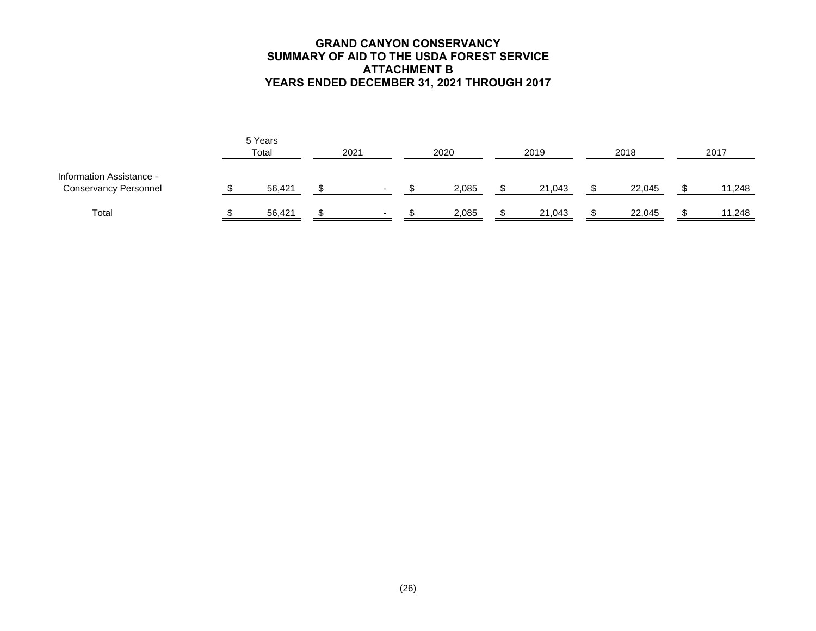## **GRAND CANYON CONSERVANCY SUMMARY OF AID TO THE USDA FOREST SERVICE ATTACHMENT B YEARS ENDED DECEMBER 31, 2021 THROUGH 2017**

|                                                          | 5 Years<br>Total | 2021 |   | 2020 |       | 2019 |        | 2018 |        | 2017 |        |
|----------------------------------------------------------|------------------|------|---|------|-------|------|--------|------|--------|------|--------|
| Information Assistance -<br><b>Conservancy Personnel</b> | 56,421           |      | - |      | 2,085 |      | 21,043 |      | 22,045 |      | 11,248 |
| Total                                                    | 56,421           |      | - |      | 2,085 |      | 21,043 |      | 22,045 |      | 11,248 |